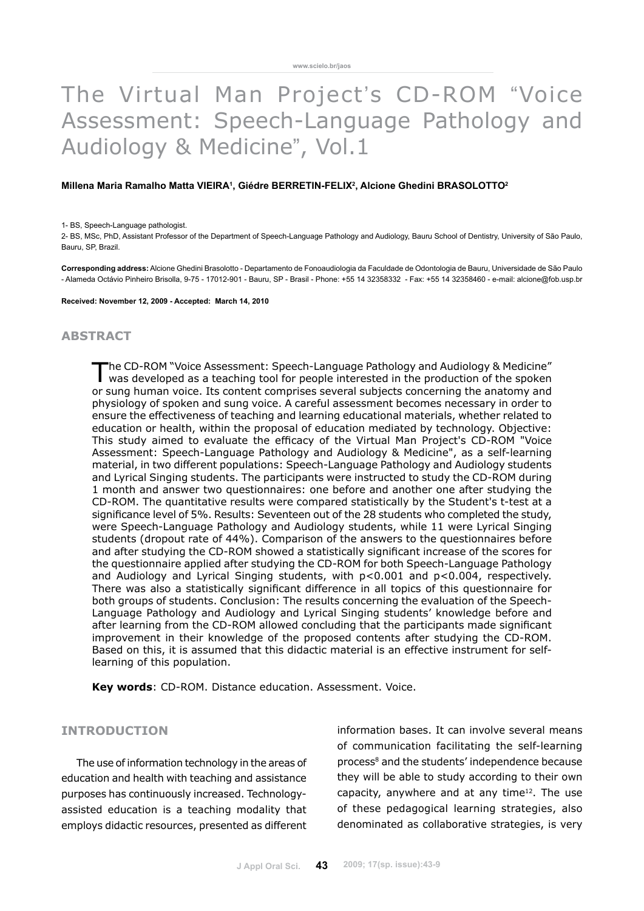# The Virtual Man Project's CD-ROM "Voice Assessment: Speech-Language Pathology and Audiology & Medicine", Vol.1

#### Millena Maria Ramalho Matta VIEIRA<sup>1</sup>, Giédre BERRETIN-FELIX<sup>2</sup>, Alcione Ghedini BRASOLOTTO<sup>2</sup>

#### 1- BS, Speech-Language pathologist.

2- BS, MSc, PhD, Assistant Professor of the Department of Speech-Language Pathology and Audiology, Bauru School of Dentistry, University of São Paulo, Bauru, SP, Brazil.

**Corresponding address:** Alcione Ghedini Brasolotto - Departamento de Fonoaudiologia da Faculdade de Odontologia de Bauru, Universidade de São Paulo - Alameda Octávio Pinheiro Brisolla, 9-75 - 17012-901 - Bauru, SP - Brasil - Phone: +55 14 32358332 - Fax: +55 14 32358460 - e-mail: alcione@fob.usp.br

**Received: November 12, 2009 - Accepted: March 14, 2010**

#### **abstract**

The CD-ROM "Voice Assessment: Speech-Language Pathology and Audiology & Medicine" was developed as a teaching tool for people interested in the production of the spoken or sung human voice. Its content comprises several subjects concerning the anatomy and physiology of spoken and sung voice. A careful assessment becomes necessary in order to ensure the effectiveness of teaching and learning educational materials, whether related to education or health, within the proposal of education mediated by technology. Objective: This study aimed to evaluate the efficacy of the Virtual Man Project's CD-ROM "Voice Assessment: Speech-Language Pathology and Audiology & Medicine", as a self-learning material, in two different populations: Speech-Language Pathology and Audiology students and Lyrical Singing students. The participants were instructed to study the CD-ROM during 1 month and answer two questionnaires: one before and another one after studying the CD-ROM. The quantitative results were compared statistically by the Student's t-test at a significance level of 5%. Results: Seventeen out of the 28 students who completed the study, were Speech-Language Pathology and Audiology students, while 11 were Lyrical Singing students (dropout rate of 44%). Comparison of the answers to the questionnaires before and after studying the CD-ROM showed a statistically significant increase of the scores for the questionnaire applied after studying the CD-ROM for both Speech-Language Pathology and Audiology and Lyrical Singing students, with p<0.001 and p<0.004, respectively. There was also a statistically significant difference in all topics of this questionnaire for both groups of students. Conclusion: The results concerning the evaluation of the Speech-Language Pathology and Audiology and Lyrical Singing students' knowledge before and after learning from the CD-ROM allowed concluding that the participants made significant improvement in their knowledge of the proposed contents after studying the CD-ROM. Based on this, it is assumed that this didactic material is an effective instrument for selflearning of this population.

**Key words**: CD-ROM. Distance education. Assessment. Voice.

# **INTRODUCTION**

The use of information technology in the areas of education and health with teaching and assistance purposes has continuously increased. Technologyassisted education is a teaching modality that employs didactic resources, presented as different information bases. It can involve several means of communication facilitating the self-learning process<sup>8</sup> and the students' independence because they will be able to study according to their own capacity, anywhere and at any time12. The use of these pedagogical learning strategies, also denominated as collaborative strategies, is very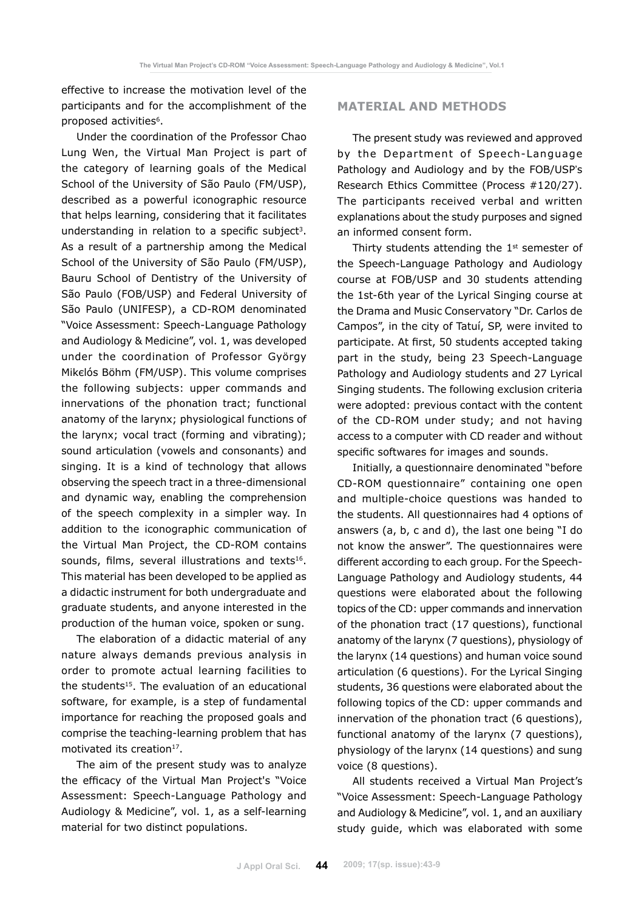effective to increase the motivation level of the participants and for the accomplishment of the proposed activities<sup>6</sup>.

Under the coordination of the Professor Chao Lung Wen, the Virtual Man Project is part of the category of learning goals of the Medical School of the University of São Paulo (FM/USP), described as a powerful iconographic resource that helps learning, considering that it facilitates understanding in relation to a specific subject<sup>3</sup>. As a result of a partnership among the Medical School of the University of São Paulo (FM/USP), Bauru School of Dentistry of the University of São Paulo (FOB/USP) and Federal University of São Paulo (UNIFESP), a CD-ROM denominated "Voice Assessment: Speech-Language Pathology and Audiology & Medicine", vol. 1, was developed under the coordination of Professor György Mikєlós Böhm (FM/USP). This volume comprises the following subjects: upper commands and innervations of the phonation tract; functional anatomy of the larynx; physiological functions of the larynx; vocal tract (forming and vibrating); sound articulation (vowels and consonants) and singing. It is a kind of technology that allows observing the speech tract in a three-dimensional and dynamic way, enabling the comprehension of the speech complexity in a simpler way. In addition to the iconographic communication of the Virtual Man Project, the CD-ROM contains sounds, films, several illustrations and texts<sup>16</sup>. This material has been developed to be applied as a didactic instrument for both undergraduate and graduate students, and anyone interested in the production of the human voice, spoken or sung.

The elaboration of a didactic material of any nature always demands previous analysis in order to promote actual learning facilities to the students<sup>15</sup>. The evaluation of an educational software, for example, is a step of fundamental importance for reaching the proposed goals and comprise the teaching-learning problem that has motivated its creation<sup>17</sup>.

The aim of the present study was to analyze the efficacy of the Virtual Man Project's "Voice Assessment: Speech-Language Pathology and Audiology & Medicine", vol. 1, as a self-learning material for two distinct populations.

# **MATERIAL AND METHODS**

The present study was reviewed and approved by the Department of Speech-Language Pathology and Audiology and by the FOB/USP's Research Ethics Committee (Process #120/27). The participants received verbal and written explanations about the study purposes and signed an informed consent form.

Thirty students attending the  $1<sup>st</sup>$  semester of the Speech-Language Pathology and Audiology course at FOB/USP and 30 students attending the 1st-6th year of the Lyrical Singing course at the Drama and Music Conservatory "Dr. Carlos de Campos", in the city of Tatuí, SP, were invited to participate. At first, 50 students accepted taking part in the study, being 23 Speech-Language Pathology and Audiology students and 27 Lyrical Singing students. The following exclusion criteria were adopted: previous contact with the content of the CD-ROM under study; and not having access to a computer with CD reader and without specific softwares for images and sounds.

Initially, a questionnaire denominated "before CD-ROM questionnaire" containing one open and multiple-choice questions was handed to the students. All questionnaires had 4 options of answers (a, b, c and d), the last one being "I do not know the answer". The questionnaires were different according to each group. For the Speech-Language Pathology and Audiology students, 44 questions were elaborated about the following topics of the CD: upper commands and innervation of the phonation tract (17 questions), functional anatomy of the larynx (7 questions), physiology of the larynx (14 questions) and human voice sound articulation (6 questions). For the Lyrical Singing students, 36 questions were elaborated about the following topics of the CD: upper commands and innervation of the phonation tract (6 questions), functional anatomy of the larynx (7 questions), physiology of the larynx (14 questions) and sung voice (8 questions).

All students received a Virtual Man Project's "Voice Assessment: Speech-Language Pathology and Audiology & Medicine", vol. 1, and an auxiliary study guide, which was elaborated with some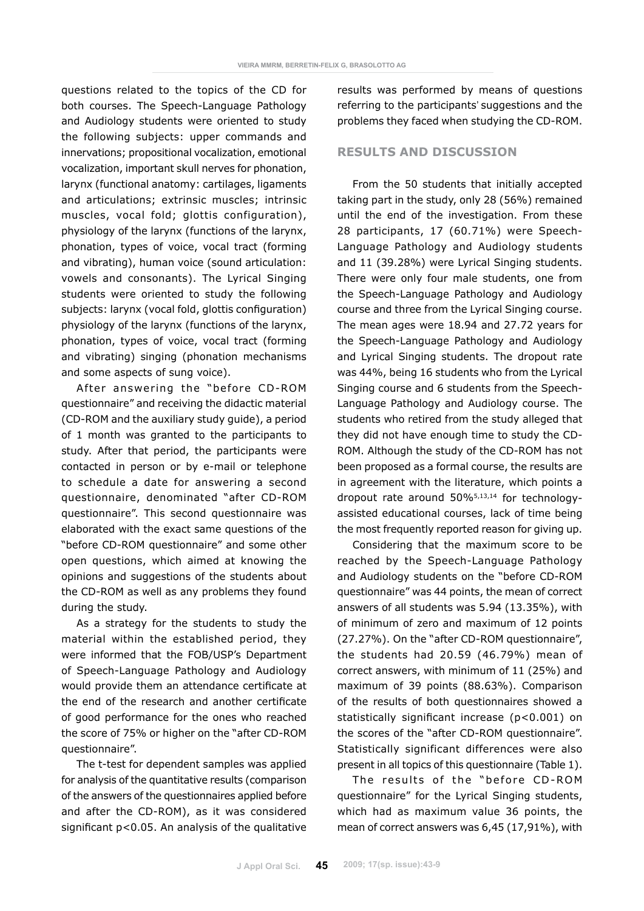questions related to the topics of the CD for both courses. The Speech-Language Pathology and Audiology students were oriented to study the following subjects: upper commands and innervations; propositional vocalization, emotional vocalization, important skull nerves for phonation, larynx (functional anatomy: cartilages, ligaments and articulations; extrinsic muscles; intrinsic muscles, vocal fold; glottis configuration), physiology of the larynx (functions of the larynx, phonation, types of voice, vocal tract (forming and vibrating), human voice (sound articulation: vowels and consonants). The Lyrical Singing students were oriented to study the following subjects: larynx (vocal fold, glottis configuration) physiology of the larynx (functions of the larynx, phonation, types of voice, vocal tract (forming and vibrating) singing (phonation mechanisms and some aspects of sung voice).

After answering the "before CD-ROM questionnaire" and receiving the didactic material (CD-ROM and the auxiliary study guide), a period of 1 month was granted to the participants to study. After that period, the participants were contacted in person or by e-mail or telephone to schedule a date for answering a second questionnaire, denominated "after CD-ROM questionnaire". This second questionnaire was elaborated with the exact same questions of the "before CD-ROM questionnaire" and some other open questions, which aimed at knowing the opinions and suggestions of the students about the CD-ROM as well as any problems they found during the study.

As a strategy for the students to study the material within the established period, they were informed that the FOB/USP's Department of Speech-Language Pathology and Audiology would provide them an attendance certificate at the end of the research and another certificate of good performance for the ones who reached the score of 75% or higher on the "after CD-ROM questionnaire".

The t-test for dependent samples was applied for analysis of the quantitative results (comparison of the answers of the questionnaires applied before and after the CD-ROM), as it was considered significant p<0.05. An analysis of the qualitative results was performed by means of questions referring to the participants' suggestions and the problems they faced when studying the CD-ROM.

#### **RESULTS AND DISCUSSION**

From the 50 students that initially accepted taking part in the study, only 28 (56%) remained until the end of the investigation. From these 28 participants, 17 (60.71%) were Speech-Language Pathology and Audiology students and 11 (39.28%) were Lyrical Singing students. There were only four male students, one from the Speech-Language Pathology and Audiology course and three from the Lyrical Singing course. The mean ages were 18.94 and 27.72 years for the Speech-Language Pathology and Audiology and Lyrical Singing students. The dropout rate was 44%, being 16 students who from the Lyrical Singing course and 6 students from the Speech-Language Pathology and Audiology course. The students who retired from the study alleged that they did not have enough time to study the CD-ROM. Although the study of the CD-ROM has not been proposed as a formal course, the results are in agreement with the literature, which points a dropout rate around 50%5,13,14 for technologyassisted educational courses, lack of time being the most frequently reported reason for giving up.

Considering that the maximum score to be reached by the Speech-Language Pathology and Audiology students on the "before CD-ROM questionnaire" was 44 points, the mean of correct answers of all students was 5.94 (13.35%), with of minimum of zero and maximum of 12 points (27.27%). On the "after CD-ROM questionnaire", the students had 20.59 (46.79%) mean of correct answers, with minimum of 11 (25%) and maximum of 39 points (88.63%). Comparison of the results of both questionnaires showed a statistically significant increase (p<0.001) on the scores of the "after CD-ROM questionnaire". Statistically significant differences were also present in all topics of this questionnaire (Table 1).

The results of the "before CD-ROM questionnaire" for the Lyrical Singing students, which had as maximum value 36 points, the mean of correct answers was 6,45 (17,91%), with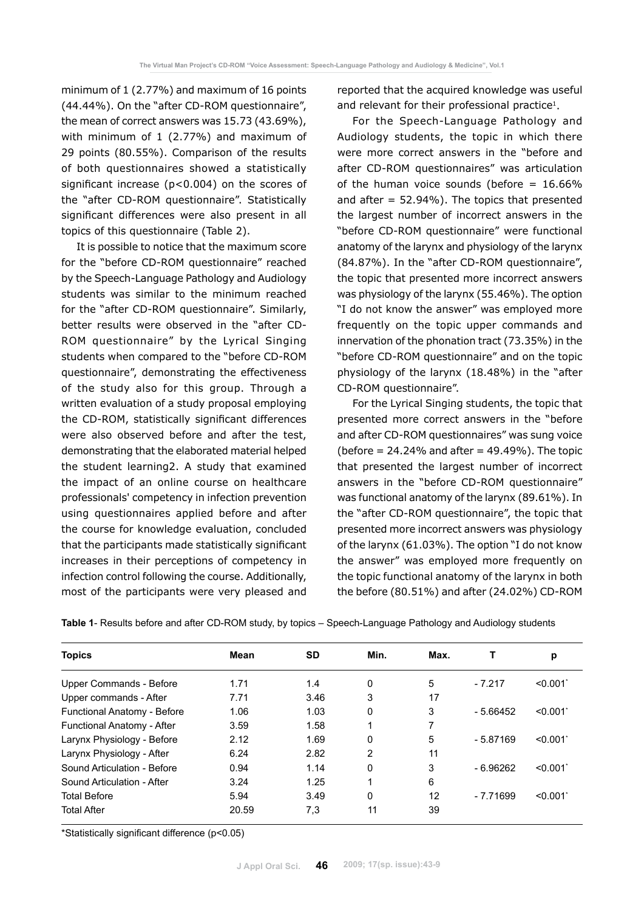minimum of 1 (2.77%) and maximum of 16 points (44.44%). On the "after CD-ROM questionnaire", the mean of correct answers was 15.73 (43.69%), with minimum of 1 (2.77%) and maximum of 29 points (80.55%). Comparison of the results of both questionnaires showed a statistically significant increase (p<0.004) on the scores of the "after CD-ROM questionnaire". Statistically significant differences were also present in all topics of this questionnaire (Table 2).

It is possible to notice that the maximum score for the "before CD-ROM questionnaire" reached by the Speech-Language Pathology and Audiology students was similar to the minimum reached for the "after CD-ROM questionnaire". Similarly, better results were observed in the "after CD-ROM questionnaire" by the Lyrical Singing students when compared to the "before CD-ROM questionnaire", demonstrating the effectiveness of the study also for this group. Through a written evaluation of a study proposal employing the CD-ROM, statistically significant differences were also observed before and after the test, demonstrating that the elaborated material helped the student learning2. A study that examined the impact of an online course on healthcare professionals' competency in infection prevention using questionnaires applied before and after the course for knowledge evaluation, concluded that the participants made statistically significant increases in their perceptions of competency in infection control following the course. Additionally, most of the participants were very pleased and reported that the acquired knowledge was useful and relevant for their professional practice1.

For the Speech-Language Pathology and Audiology students, the topic in which there were more correct answers in the "before and after CD-ROM questionnaires" was articulation of the human voice sounds (before  $= 16.66\%$ and after  $= 52.94\%$ ). The topics that presented the largest number of incorrect answers in the "before CD-ROM questionnaire" were functional anatomy of the larynx and physiology of the larynx (84.87%). In the "after CD-ROM questionnaire", the topic that presented more incorrect answers was physiology of the larynx (55.46%). The option "I do not know the answer" was employed more frequently on the topic upper commands and innervation of the phonation tract (73.35%) in the "before CD-ROM questionnaire" and on the topic physiology of the larynx (18.48%) in the "after CD-ROM questionnaire".

For the Lyrical Singing students, the topic that presented more correct answers in the "before and after CD-ROM questionnaires" was sung voice (before  $= 24.24\%$  and after  $= 49.49\%$ ). The topic that presented the largest number of incorrect answers in the "before CD-ROM questionnaire" was functional anatomy of the larynx (89.61%). In the "after CD-ROM questionnaire", the topic that presented more incorrect answers was physiology of the larynx (61.03%). The option "I do not know the answer" was employed more frequently on the topic functional anatomy of the larynx in both the before (80.51%) and after (24.02%) CD-ROM

| <b>Topics</b>               | Mean  | SD   | Min. | Max. |            | р       |
|-----------------------------|-------|------|------|------|------------|---------|
| Upper Commands - Before     | 1.71  | 1.4  | 0    | 5    | $-7.217$   | < 0.001 |
| Upper commands - After      | 7.71  | 3.46 | 3    | 17   |            |         |
| Functional Anatomy - Before | 1.06  | 1.03 | 0    | 3    | $-5.66452$ | < 0.001 |
| Functional Anatomy - After  | 3.59  | 1.58 |      |      |            |         |
| Larynx Physiology - Before  | 2.12  | 1.69 | 0    | 5    | $-5.87169$ | < 0.001 |
| Larynx Physiology - After   | 6.24  | 2.82 | 2    | 11   |            |         |
| Sound Articulation - Before | 0.94  | 1.14 | 0    | 3    | - 6.96262  | < 0.001 |
| Sound Articulation - After  | 3.24  | 1.25 |      | 6    |            |         |
| <b>Total Before</b>         | 5.94  | 3.49 | 0    | 12   | $-7.71699$ | < 0.001 |
| <b>Total After</b>          | 20.59 | 7,3  | 11   | 39   |            |         |
|                             |       |      |      |      |            |         |

**Table 1**- Results before and after CD-ROM study, by topics – Speech-Language Pathology and Audiology students

\*Statistically significant difference (p<0.05)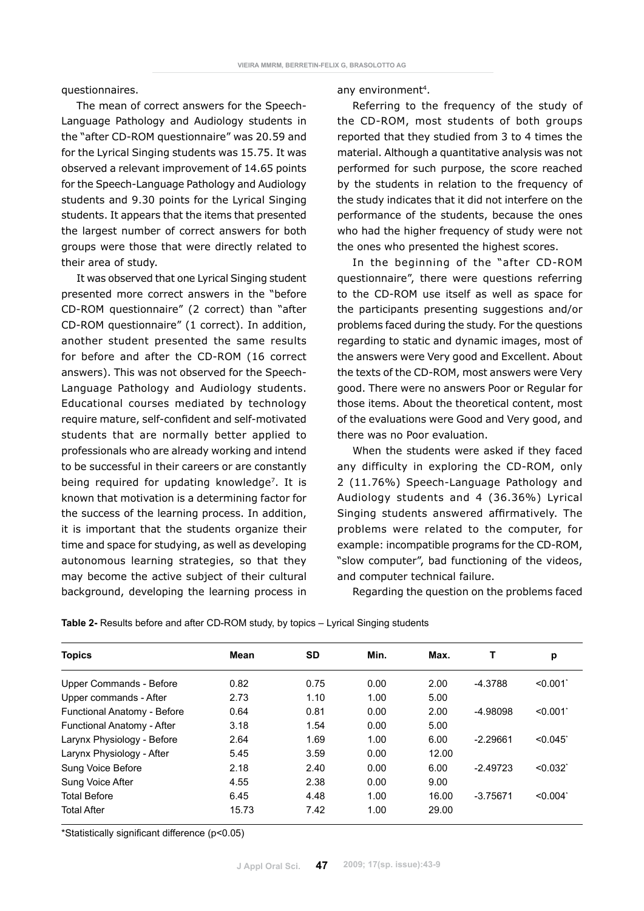questionnaires.

The mean of correct answers for the Speech-Language Pathology and Audiology students in the "after CD-ROM questionnaire" was 20.59 and for the Lyrical Singing students was 15.75. It was observed a relevant improvement of 14.65 points for the Speech-Language Pathology and Audiology students and 9.30 points for the Lyrical Singing students. It appears that the items that presented the largest number of correct answers for both groups were those that were directly related to their area of study.

It was observed that one Lyrical Singing student presented more correct answers in the "before CD-ROM questionnaire" (2 correct) than "after CD-ROM questionnaire" (1 correct). In addition, another student presented the same results for before and after the CD-ROM (16 correct answers). This was not observed for the Speech-Language Pathology and Audiology students. Educational courses mediated by technology require mature, self-confident and self-motivated students that are normally better applied to professionals who are already working and intend to be successful in their careers or are constantly being required for updating knowledge<sup>7</sup>. It is known that motivation is a determining factor for the success of the learning process. In addition, it is important that the students organize their time and space for studying, as well as developing autonomous learning strategies, so that they may become the active subject of their cultural background, developing the learning process in any environment<sup>4</sup>.

Referring to the frequency of the study of the CD-ROM, most students of both groups reported that they studied from 3 to 4 times the material. Although a quantitative analysis was not performed for such purpose, the score reached by the students in relation to the frequency of the study indicates that it did not interfere on the performance of the students, because the ones who had the higher frequency of study were not the ones who presented the highest scores.

In the beginning of the "after CD-ROM questionnaire", there were questions referring to the CD-ROM use itself as well as space for the participants presenting suggestions and/or problems faced during the study. For the questions regarding to static and dynamic images, most of the answers were Very good and Excellent. About the texts of the CD-ROM, most answers were Very good. There were no answers Poor or Regular for those items. About the theoretical content, most of the evaluations were Good and Very good, and there was no Poor evaluation.

When the students were asked if they faced any difficulty in exploring the CD-ROM, only 2 (11.76%) Speech-Language Pathology and Audiology students and 4 (36.36%) Lyrical Singing students answered affirmatively. The problems were related to the computer, for example: incompatible programs for the CD-ROM, "slow computer", bad functioning of the videos, and computer technical failure.

Regarding the question on the problems faced

| <b>Topics</b>               | Mean  | <b>SD</b> | Min. | Max.  | т          | р       |
|-----------------------------|-------|-----------|------|-------|------------|---------|
| Upper Commands - Before     | 0.82  | 0.75      | 0.00 | 2.00  | $-4.3788$  | < 0.001 |
| Upper commands - After      | 2.73  | 1.10      | 1.00 | 5.00  |            |         |
| Functional Anatomy - Before | 0.64  | 0.81      | 0.00 | 2.00  | $-4.98098$ | < 0.001 |
| Functional Anatomy - After  | 3.18  | 1.54      | 0.00 | 5.00  |            |         |
| Larynx Physiology - Before  | 2.64  | 1.69      | 1.00 | 6.00  | $-2.29661$ | < 0.045 |
| Larynx Physiology - After   | 5.45  | 3.59      | 0.00 | 12.00 |            |         |
| Sung Voice Before           | 2.18  | 2.40      | 0.00 | 6.00  | $-2.49723$ | < 0.032 |
| Sung Voice After            | 4.55  | 2.38      | 0.00 | 9.00  |            |         |
| <b>Total Before</b>         | 6.45  | 4.48      | 1.00 | 16.00 | $-3.75671$ | < 0.004 |
| Total After                 | 15.73 | 7.42      | 1.00 | 29.00 |            |         |

**Table 2-** Results before and after CD-ROM study, by topics – Lyrical Singing students

\*Statistically significant difference (p<0.05)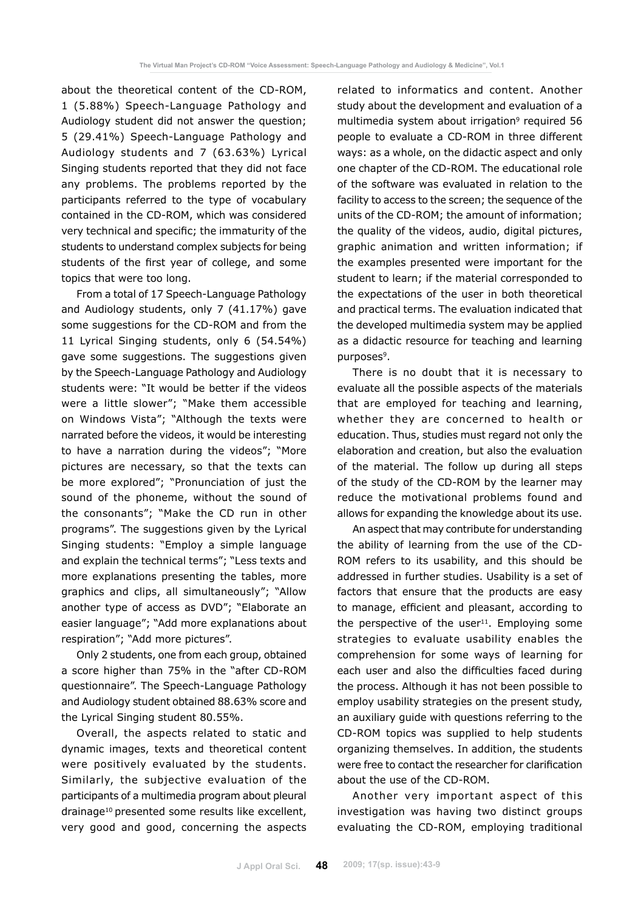about the theoretical content of the CD-ROM, 1 (5.88%) Speech-Language Pathology and Audiology student did not answer the question; 5 (29.41%) Speech-Language Pathology and Audiology students and 7 (63.63%) Lyrical Singing students reported that they did not face any problems. The problems reported by the participants referred to the type of vocabulary contained in the CD-ROM, which was considered very technical and specific; the immaturity of the students to understand complex subjects for being students of the first year of college, and some topics that were too long.

From a total of 17 Speech-Language Pathology and Audiology students, only 7 (41.17%) gave some suggestions for the CD-ROM and from the 11 Lyrical Singing students, only 6 (54.54%) gave some suggestions. The suggestions given by the Speech-Language Pathology and Audiology students were: "It would be better if the videos were a little slower"; "Make them accessible on Windows Vista"; "Although the texts were narrated before the videos, it would be interesting to have a narration during the videos"; "More pictures are necessary, so that the texts can be more explored"; "Pronunciation of just the sound of the phoneme, without the sound of the consonants"; "Make the CD run in other programs". The suggestions given by the Lyrical Singing students: "Employ a simple language and explain the technical terms"; "Less texts and more explanations presenting the tables, more graphics and clips, all simultaneously"; "Allow another type of access as DVD"; "Elaborate an easier language"; "Add more explanations about respiration"; "Add more pictures".

Only 2 students, one from each group, obtained a score higher than 75% in the "after CD-ROM questionnaire". The Speech-Language Pathology and Audiology student obtained 88.63% score and the Lyrical Singing student 80.55%.

Overall, the aspects related to static and dynamic images, texts and theoretical content were positively evaluated by the students. Similarly, the subjective evaluation of the participants of a multimedia program about pleural drainage10 presented some results like excellent, very good and good, concerning the aspects related to informatics and content. Another study about the development and evaluation of a multimedia system about irrigation<sup>9</sup> required 56 people to evaluate a CD-ROM in three different ways: as a whole, on the didactic aspect and only one chapter of the CD-ROM. The educational role of the software was evaluated in relation to the facility to access to the screen; the sequence of the units of the CD-ROM; the amount of information; the quality of the videos, audio, digital pictures, graphic animation and written information; if the examples presented were important for the student to learn; if the material corresponded to the expectations of the user in both theoretical and practical terms. The evaluation indicated that the developed multimedia system may be applied as a didactic resource for teaching and learning purposes<sup>9</sup>.

There is no doubt that it is necessary to evaluate all the possible aspects of the materials that are employed for teaching and learning, whether they are concerned to health or education. Thus, studies must regard not only the elaboration and creation, but also the evaluation of the material. The follow up during all steps of the study of the CD-ROM by the learner may reduce the motivational problems found and allows for expanding the knowledge about its use.

An aspect that may contribute for understanding the ability of learning from the use of the CD-ROM refers to its usability, and this should be addressed in further studies. Usability is a set of factors that ensure that the products are easy to manage, efficient and pleasant, according to the perspective of the user $11$ . Employing some strategies to evaluate usability enables the comprehension for some ways of learning for each user and also the difficulties faced during the process. Although it has not been possible to employ usability strategies on the present study, an auxiliary guide with questions referring to the CD-ROM topics was supplied to help students organizing themselves. In addition, the students were free to contact the researcher for clarification about the use of the CD-ROM.

Another very important aspect of this investigation was having two distinct groups evaluating the CD-ROM, employing traditional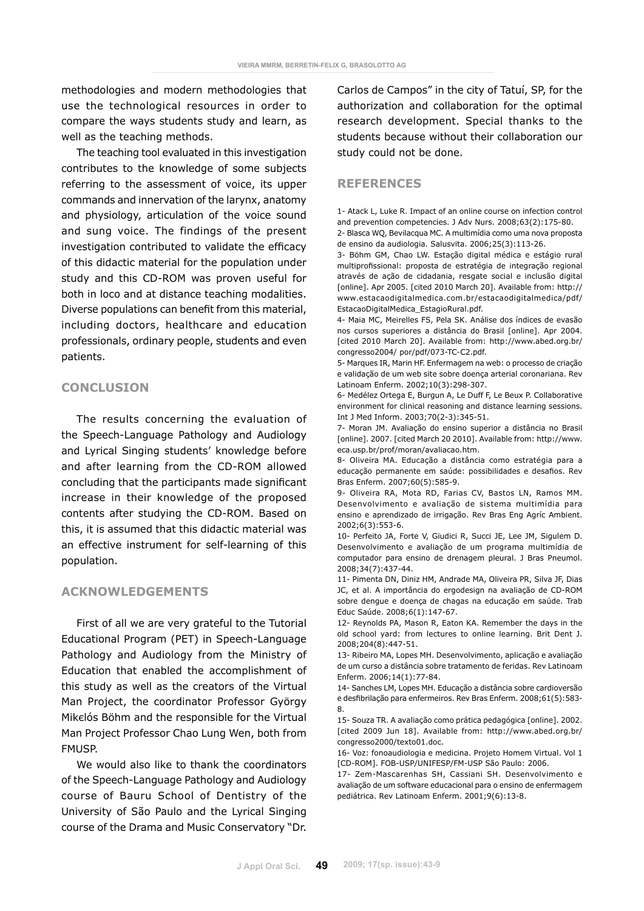methodologies and modern methodologies that use the technological resources in order to compare the ways students study and learn, as well as the teaching methods.

The teaching tool evaluated in this investigation contributes to the knowledge of some subjects referring to the assessment of voice, its upper commands and innervation of the larynx, anatomy and physiology, articulation of the voice sound and sung voice. The findings of the present investigation contributed to validate the efficacy of this didactic material for the population under study and this CD-ROM was proven useful for both in loco and at distance teaching modalities. Diverse populations can benefit from this material, including doctors, healthcare and education professionals, ordinary people, students and even patients.

# **CONCLUSION**

The results concerning the evaluation of the Speech-Language Pathology and Audiology and Lyrical Singing students' knowledge before and after learning from the CD-ROM allowed concluding that the participants made significant increase in their knowledge of the proposed contents after studying the CD-ROM. Based on this, it is assumed that this didactic material was an effective instrument for self-learning of this population.

## **ACKNOWLEDGEMENTS**

First of all we are very grateful to the Tutorial Educational Program (PET) in Speech-Language Pathology and Audiology from the Ministry of Education that enabled the accomplishment of this study as well as the creators of the Virtual Man Project, the coordinator Professor György Mikєlós Böhm and the responsible for the Virtual Man Project Professor Chao Lung Wen, both from FMUSP.

We would also like to thank the coordinators of the Speech-Language Pathology and Audiology course of Bauru School of Dentistry of the University of São Paulo and the Lyrical Singing course of the Drama and Music Conservatory "Dr. Carlos de Campos" in the city of Tatuí, SP, for the authorization and collaboration for the optimal research development. Special thanks to the students because without their collaboration our study could not be done.

### **REFERENCES**

1- Atack L, Luke R. Impact of an online course on infection control and prevention competencies. J Adv Nurs. 2008;63(2):175-80. 2- Blasca WQ, Bevilacqua MC. A multimídia como uma nova proposta de ensino da audiologia. Salusvita. 2006;25(3):113-26.

3- Böhm GM, Chao LW. Estação digital médica e estágio rural multiprofissional: proposta de estratégia de integração regional através de ação de cidadania, resgate social e inclusão digital [online]. Apr 2005. [cited 2010 March 20]. Available from: http:// www.estacaodigitalmedica.com.br/estacaodigitalmedica/pdf/ EstacaoDigitalMedica\_EstagioRural.pdf.

4- Maia MC, Meirelles FS, Pela SK. Análise dos índices de evasão nos cursos superiores a distância do Brasil [online]. Apr 2004. [cited 2010 March 20]. Available from: http://www.abed.org.br/ congresso2004/ por/pdf/073-TC-C2.pdf.

5- Marques IR, Marin HF. Enfermagem na web: o processo de criação e validação de um web site sobre doença arterial coronariana. Rev Latinoam Enferm. 2002;10(3):298-307.

6- Medélez Ortega E, Burgun A, Le Duff F, Le Beux P. Collaborative environment for clinical reasoning and distance learning sessions. Int J Med Inform. 2003;70(2-3):345-51.

7- Moran JM. Avaliação do ensino superior a distância no Brasil [online]. 2007. [cited March 20 2010]. Available from: http://www. eca.usp.br/prof/moran/avaliacao.htm.

8- Oliveira MA. Educação a distância como estratégia para a educação permanente em saúde: possibilidades e desafios. Rev Bras Enferm. 2007;60(5):585-9.

9- Oliveira RA, Mota RD, Farias CV, Bastos LN, Ramos MM. Desenvolvimento e avaliação de sistema multimídia para ensino e aprendizado de irrigação. Rev Bras Eng Agríc Ambient. 2002;6(3):553-6.

10- Perfeito JA, Forte V, Giudici R, Succi JE, Lee JM, Sigulem D. Desenvolvimento e avaliação de um programa multimídia de computador para ensino de drenagem pleural. J Bras Pneumol. 2008;34(7):437-44.

11- Pimenta DN, Diniz HM, Andrade MA, Oliveira PR, Silva JF, Dias JC, et al. A importância do ergodesign na avaliação de CD-ROM sobre dengue e doença de chagas na educação em saúde. Trab Educ Saúde. 2008;6(1):147-67.

12- Reynolds PA, Mason R, Eaton KA. Remember the days in the old school yard: from lectures to online learning. Brit Dent J. 2008;204(8):447-51.

13- Ribeiro MA, Lopes MH. Desenvolvimento, aplicação e avaliação de um curso a distância sobre tratamento de feridas. Rev Latinoam Enferm. 2006;14(1):77-84.

14- Sanches LM, Lopes MH. Educação a distância sobre cardioversão e desfibrilação para enfermeiros. Rev Bras Enferm. 2008;61(5):583- 8.

15- Souza TR. A avaliação como prática pedagógica [online]. 2002. [cited 2009 Jun 18]. Available from: http://www.abed.org.br/ congresso2000/texto01.doc.

16- Voz: fonoaudiologia e medicina. Projeto Homem Virtual. Vol 1 [CD-ROM]. FOB-USP/UNIFESP/FM-USP São Paulo: 2006.

17- Zem-Mascarenhas SH, Cassiani SH. Desenvolvimento e avaliação de um software educacional para o ensino de enfermagem pediátrica. Rev Latinoam Enferm. 2001;9(6):13-8.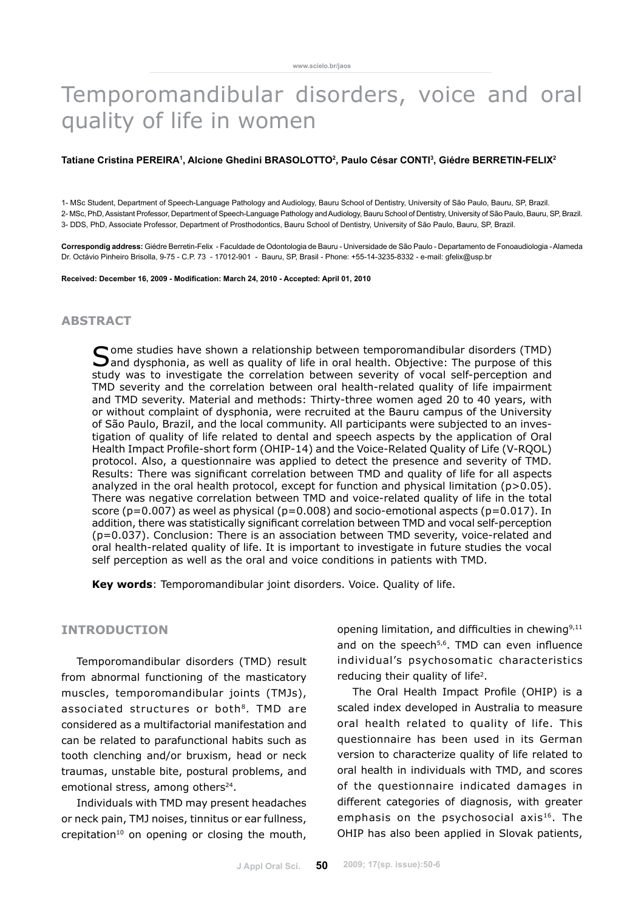# Temporomandibular disorders, voice and oral quality of life in women

#### Tatiane Cristina PEREIRA<sup>1</sup>, Alcione Ghedini BRASOLOTTO<sup>2</sup>, Paulo César CONTI<sup>3</sup>, Giédre BERRETIN-FELIX<sup>2</sup>

1- MSc Student, Department of Speech-Language Pathology and Audiology, Bauru School of Dentistry, University of São Paulo, Bauru, SP, Brazil. 2- MSc, PhD, Assistant Professor, Department of Speech-Language Pathology and Audiology, Bauru School of Dentistry, University of São Paulo, Bauru, SP, Brazil. 3- DDS, PhD, Associate Professor, Department of Prosthodontics, Bauru School of Dentistry, University of São Paulo, Bauru, SP, Brazil.

**Correspondig address:** Giédre Berretin-Felix - Faculdade de Odontologia de Bauru - Universidade de São Paulo - Departamento de Fonoaudiologia - Alameda Dr. Octávio Pinheiro Brisolla, 9-75 - C.P. 73 - 17012-901 - Bauru, SP, Brasil - Phone: +55-14-3235-8332 - e-mail: gfelix@usp.br

**Received: December 16, 2009 - Modification: March 24, 2010 - Accepted: April 01, 2010**

# **abstract**

Some studies have shown a relationship between temporomandibular disorders (TMD) and dysphonia, as well as quality of life in oral health. Objective: The purpose of this study was to investigate the correlation between severity of vocal self-perception and TMD severity and the correlation between oral health-related quality of life impairment and TMD severity. Material and methods: Thirty-three women aged 20 to 40 years, with or without complaint of dysphonia, were recruited at the Bauru campus of the University of São Paulo, Brazil, and the local community. All participants were subjected to an investigation of quality of life related to dental and speech aspects by the application of Oral Health Impact Profile-short form (OHIP-14) and the Voice-Related Quality of Life (V-RQOL) protocol. Also, a questionnaire was applied to detect the presence and severity of TMD. Results: There was significant correlation between TMD and quality of life for all aspects analyzed in the oral health protocol, except for function and physical limitation (p>0.05). There was negative correlation between TMD and voice-related quality of life in the total score ( $p=0.007$ ) as weel as physical ( $p=0.008$ ) and socio-emotional aspects ( $p=0.017$ ). In addition, there was statistically significant correlation between TMD and vocal self-perception (p=0.037). Conclusion: There is an association between TMD severity, voice-related and oral health-related quality of life. It is important to investigate in future studies the vocal self perception as well as the oral and voice conditions in patients with TMD.

**Key words**: Temporomandibular joint disorders. Voice. Quality of life.

#### **Introduction**

Temporomandibular disorders (TMD) result from abnormal functioning of the masticatory muscles, temporomandibular joints (TMJs), associated structures or both<sup>8</sup>. TMD are considered as a multifactorial manifestation and can be related to parafunctional habits such as tooth clenching and/or bruxism, head or neck traumas, unstable bite, postural problems, and emotional stress, among others<sup>24</sup>.

Individuals with TMD may present headaches or neck pain, TMJ noises, tinnitus or ear fullness, crepitation<sup>10</sup> on opening or closing the mouth, opening limitation, and difficulties in chewing $9,11$ and on the speech<sup>5,6</sup>. TMD can even influence individual's psychosomatic characteristics reducing their quality of life<sup>2</sup>.

The Oral Health Impact Profile (OHIP) is a scaled index developed in Australia to measure oral health related to quality of life. This questionnaire has been used in its German version to characterize quality of life related to oral health in individuals with TMD, and scores of the questionnaire indicated damages in different categories of diagnosis, with greater emphasis on the psychosocial axis $16$ . The OHIP has also been applied in Slovak patients,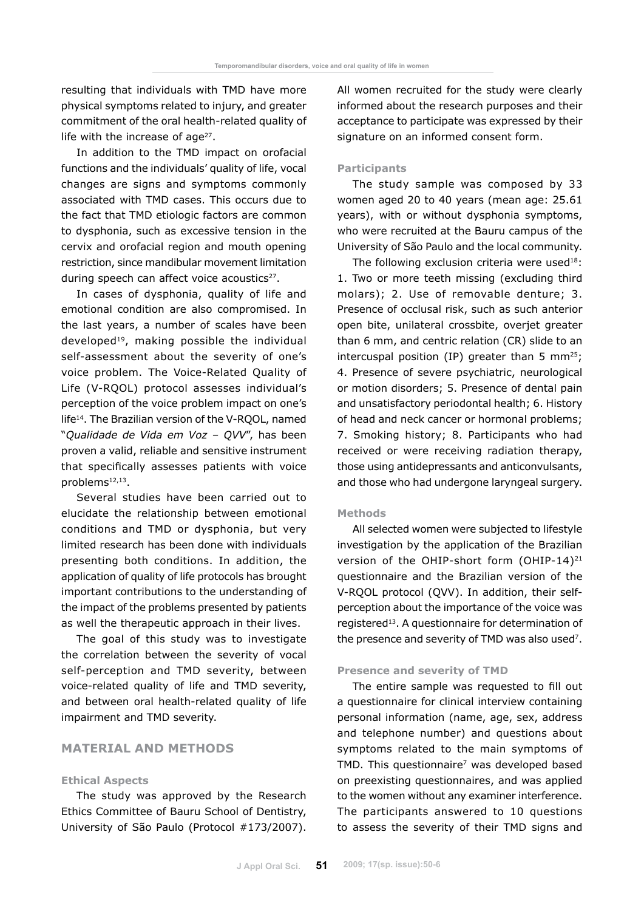resulting that individuals with TMD have more physical symptoms related to injury, and greater commitment of the oral health-related quality of life with the increase of age<sup>27</sup>.

In addition to the TMD impact on orofacial functions and the individuals' quality of life, vocal changes are signs and symptoms commonly associated with TMD cases. This occurs due to the fact that TMD etiologic factors are common to dysphonia, such as excessive tension in the cervix and orofacial region and mouth opening restriction, since mandibular movement limitation during speech can affect voice acoustics<sup>27</sup>.

In cases of dysphonia, quality of life and emotional condition are also compromised. In the last years, a number of scales have been developed19, making possible the individual self-assessment about the severity of one's voice problem. The Voice-Related Quality of Life (V-RQOL) protocol assesses individual's perception of the voice problem impact on one's life14. The Brazilian version of the V-RQOL, named "*Qualidade de Vida em Voz – QVV*", has been proven a valid, reliable and sensitive instrument that specifically assesses patients with voice problems12,13.

Several studies have been carried out to elucidate the relationship between emotional conditions and TMD or dysphonia, but very limited research has been done with individuals presenting both conditions. In addition, the application of quality of life protocols has brought important contributions to the understanding of the impact of the problems presented by patients as well the therapeutic approach in their lives.

The goal of this study was to investigate the correlation between the severity of vocal self-perception and TMD severity, between voice-related quality of life and TMD severity, and between oral health-related quality of life impairment and TMD severity.

# **Material and Methods**

#### **Ethical Aspects**

The study was approved by the Research Ethics Committee of Bauru School of Dentistry, University of São Paulo (Protocol #173/2007). All women recruited for the study were clearly informed about the research purposes and their acceptance to participate was expressed by their signature on an informed consent form.

#### **Participants**

The study sample was composed by 33 women aged 20 to 40 years (mean age: 25.61 years), with or without dysphonia symptoms, who were recruited at the Bauru campus of the University of São Paulo and the local community.

The following exclusion criteria were used $18$ : 1. Two or more teeth missing (excluding third molars); 2. Use of removable denture; 3. Presence of occlusal risk, such as such anterior open bite, unilateral crossbite, overjet greater than 6 mm, and centric relation (CR) slide to an intercuspal position (IP) greater than 5 mm<sup>25</sup>; 4. Presence of severe psychiatric, neurological or motion disorders; 5. Presence of dental pain and unsatisfactory periodontal health; 6. History of head and neck cancer or hormonal problems; 7. Smoking history; 8. Participants who had received or were receiving radiation therapy, those using antidepressants and anticonvulsants, and those who had undergone laryngeal surgery.

#### **Methods**

All selected women were subjected to lifestyle investigation by the application of the Brazilian version of the OHIP-short form (OHIP-14)<sup>21</sup> questionnaire and the Brazilian version of the V-RQOL protocol (QVV). In addition, their selfperception about the importance of the voice was registered13. A questionnaire for determination of the presence and severity of TMD was also used7.

#### **Presence and severity of TMD**

The entire sample was requested to fill out a questionnaire for clinical interview containing personal information (name, age, sex, address and telephone number) and questions about symptoms related to the main symptoms of TMD. This questionnaire<sup>7</sup> was developed based on preexisting questionnaires, and was applied to the women without any examiner interference. The participants answered to 10 questions to assess the severity of their TMD signs and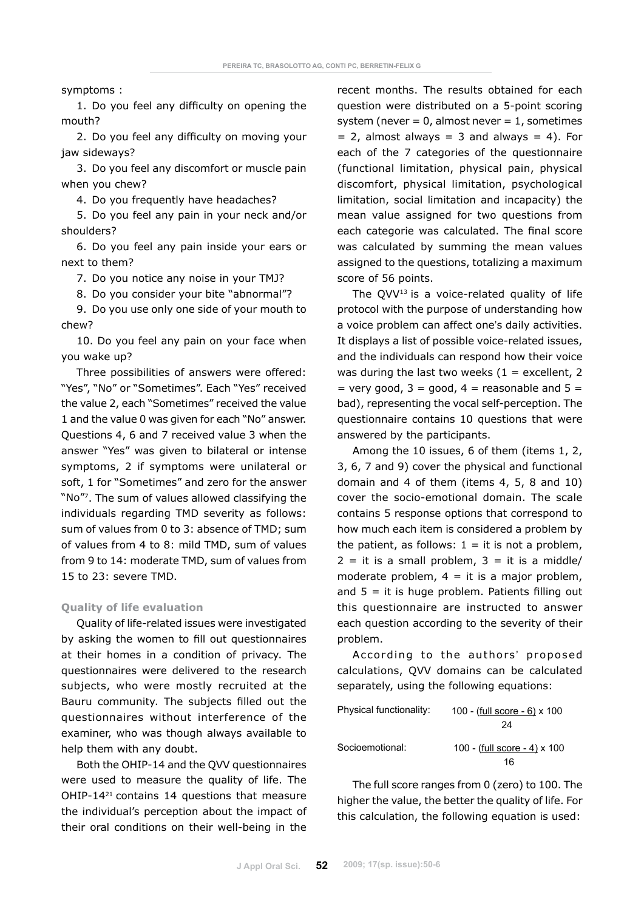symptoms :

1. Do you feel any difficulty on opening the mouth?

2. Do you feel any difficulty on moving your jaw sideways?

3. Do you feel any discomfort or muscle pain when you chew?

4. Do you frequently have headaches?

5. Do you feel any pain in your neck and/or shoulders?

6. Do you feel any pain inside your ears or next to them?

7. Do you notice any noise in your TMJ?

8. Do you consider your bite "abnormal"?

9. Do you use only one side of your mouth to chew?

10. Do you feel any pain on your face when you wake up?

Three possibilities of answers were offered: "Yes", "No" or "Sometimes". Each "Yes" received the value 2, each "Sometimes" received the value 1 and the value 0 was given for each "No" answer. Questions 4, 6 and 7 received value 3 when the answer "Yes" was given to bilateral or intense symptoms, 2 if symptoms were unilateral or soft, 1 for "Sometimes" and zero for the answer "No"7. The sum of values allowed classifying the individuals regarding TMD severity as follows: sum of values from 0 to 3: absence of TMD; sum of values from 4 to 8: mild TMD, sum of values from 9 to 14: moderate TMD, sum of values from 15 to 23: severe TMD.

#### **Quality of life evaluation**

Quality of life-related issues were investigated by asking the women to fill out questionnaires at their homes in a condition of privacy. The questionnaires were delivered to the research subjects, who were mostly recruited at the Bauru community. The subjects filled out the questionnaires without interference of the examiner, who was though always available to help them with any doubt.

Both the OHIP-14 and the QVV questionnaires were used to measure the quality of life. The OHIP-1421 contains 14 questions that measure the individual's perception about the impact of their oral conditions on their well-being in the recent months. The results obtained for each question were distributed on a 5-point scoring system (never =  $0$ , almost never =  $1$ , sometimes  $= 2$ , almost always  $= 3$  and always  $= 4$ ). For each of the 7 categories of the questionnaire (functional limitation, physical pain, physical discomfort, physical limitation, psychological limitation, social limitation and incapacity) the mean value assigned for two questions from each categorie was calculated. The final score was calculated by summing the mean values assigned to the questions, totalizing a maximum score of 56 points.

The  $QVV^{13}$  is a voice-related quality of life protocol with the purpose of understanding how a voice problem can affect one's daily activities. It displays a list of possible voice-related issues, and the individuals can respond how their voice was during the last two weeks  $(1 =$  excellent, 2  $=$  very good, 3 = good, 4 = reasonable and 5 = bad), representing the vocal self-perception. The questionnaire contains 10 questions that were answered by the participants.

Among the 10 issues, 6 of them (items 1, 2, 3, 6, 7 and 9) cover the physical and functional domain and 4 of them (items 4, 5, 8 and 10) cover the socio-emotional domain. The scale contains 5 response options that correspond to how much each item is considered a problem by the patient, as follows:  $1 =$  it is not a problem,  $2 = it$  is a small problem,  $3 = it$  is a middle/ moderate problem,  $4 = it$  is a major problem, and  $5 = it$  is huge problem. Patients filling out this questionnaire are instructed to answer each question according to the severity of their problem.

According to the authors' proposed calculations, QVV domains can be calculated separately, using the following equations:

| Physical functionality: | 100 - (full score - 6) x 100 |
|-------------------------|------------------------------|
|                         | 24                           |
| Socioemotional:         | 100 - (full score - 4) x 100 |
|                         | 16                           |

The full score ranges from 0 (zero) to 100. The higher the value, the better the quality of life. For this calculation, the following equation is used: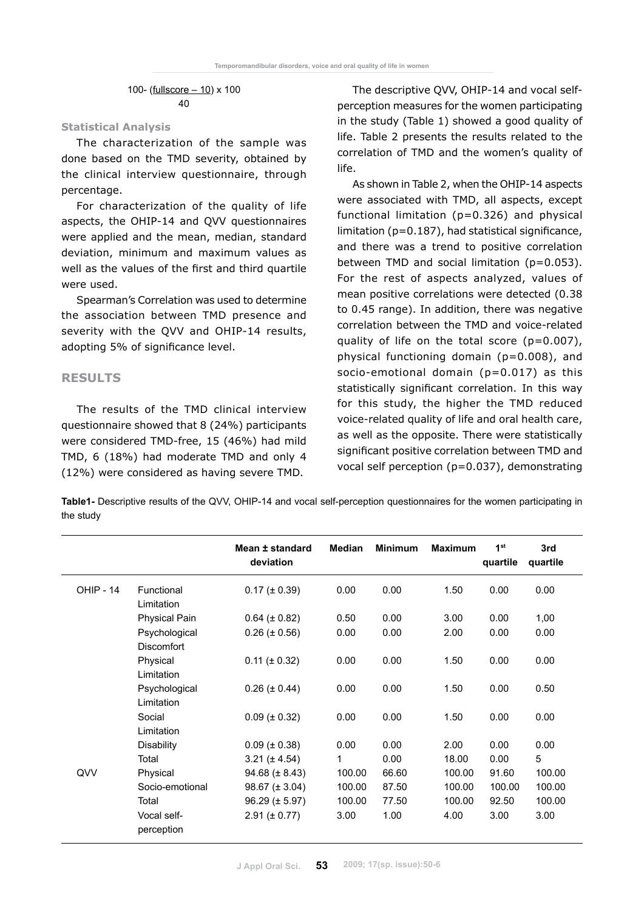100- (fullscore – 10) x 100 40

#### **Statistical Analysis**

The characterization of the sample was done based on the TMD severity, obtained by the clinical interview questionnaire, through percentage.

For characterization of the quality of life aspects, the OHIP-14 and QVV questionnaires were applied and the mean, median, standard deviation, minimum and maximum values as well as the values of the first and third quartile were used.

Spearman's Correlation was used to determine the association between TMD presence and severity with the QVV and OHIP-14 results, adopting 5% of significance level.

## **RESULTS**

The results of the TMD clinical interview questionnaire showed that 8 (24%) participants were considered TMD-free, 15 (46%) had mild TMD, 6 (18%) had moderate TMD and only 4 (12%) were considered as having severe TMD.

The descriptive QVV, OHIP-14 and vocal selfperception measures for the women participating in the study (Table 1) showed a good quality of life. Table 2 presents the results related to the correlation of TMD and the women's quality of life.

As shown in Table 2, when the OHIP-14 aspects were associated with TMD, all aspects, except functional limitation (p=0.326) and physical limitation (p=0.187), had statistical significance, and there was a trend to positive correlation between TMD and social limitation (p=0.053). For the rest of aspects analyzed, values of mean positive correlations were detected (0.38 to 0.45 range). In addition, there was negative correlation between the TMD and voice-related quality of life on the total score  $(p=0.007)$ , physical functioning domain (p=0.008), and socio-emotional domain  $(p=0.017)$  as this statistically significant correlation. In this way for this study, the higher the TMD reduced voice-related quality of life and oral health care, as well as the opposite. There were statistically significant positive correlation between TMD and vocal self perception (p=0.037), demonstrating

**Table1-** Descriptive results of the QVV, OHIP-14 and vocal self-perception questionnaires for the women participating in the study

|                  |                                    | Mean ± standard<br>deviation | <b>Median</b> | <b>Minimum</b> | <b>Maximum</b> | 1 <sup>st</sup><br>quartile | 3rd<br>quartile |
|------------------|------------------------------------|------------------------------|---------------|----------------|----------------|-----------------------------|-----------------|
| <b>OHIP - 14</b> | Functional<br>Limitation           | $0.17 (\pm 0.39)$            | 0.00          | 0.00           | 1.50           | 0.00                        | 0.00            |
|                  | <b>Physical Pain</b>               | $0.64 (\pm 0.82)$            | 0.50          | 0.00           | 3.00           | 0.00                        | 1,00            |
|                  | Psychological<br><b>Discomfort</b> | $0.26 (\pm 0.56)$            | 0.00          | 0.00           | 2.00           | 0.00                        | 0.00            |
|                  | Physical<br>Limitation             | $0.11 (\pm 0.32)$            | 0.00          | 0.00           | 1.50           | 0.00                        | 0.00            |
|                  | Psychological<br>Limitation        | $0.26 (\pm 0.44)$            | 0.00          | 0.00           | 1.50           | 0.00                        | 0.50            |
|                  | Social<br>Limitation               | $0.09 (\pm 0.32)$            | 0.00          | 0.00           | 1.50           | 0.00                        | 0.00            |
|                  | <b>Disability</b>                  | $0.09 (\pm 0.38)$            | 0.00          | 0.00           | 2.00           | 0.00                        | 0.00            |
|                  | Total                              | $3.21 (\pm 4.54)$            | 1             | 0.00           | 18.00          | 0.00                        | 5               |
| QVV              | Physical                           | $94.68 (\pm 8.43)$           | 100.00        | 66.60          | 100.00         | 91.60                       | 100.00          |
|                  | Socio-emotional                    | $98.67 (\pm 3.04)$           | 100.00        | 87.50          | 100.00         | 100.00                      | 100.00          |
|                  | Total                              | $96.29 (\pm 5.97)$           | 100.00        | 77.50          | 100.00         | 92.50                       | 100.00          |
|                  | Vocal self-<br>perception          | $2.91 (\pm 0.77)$            | 3.00          | 1.00           | 4.00           | 3.00                        | 3.00            |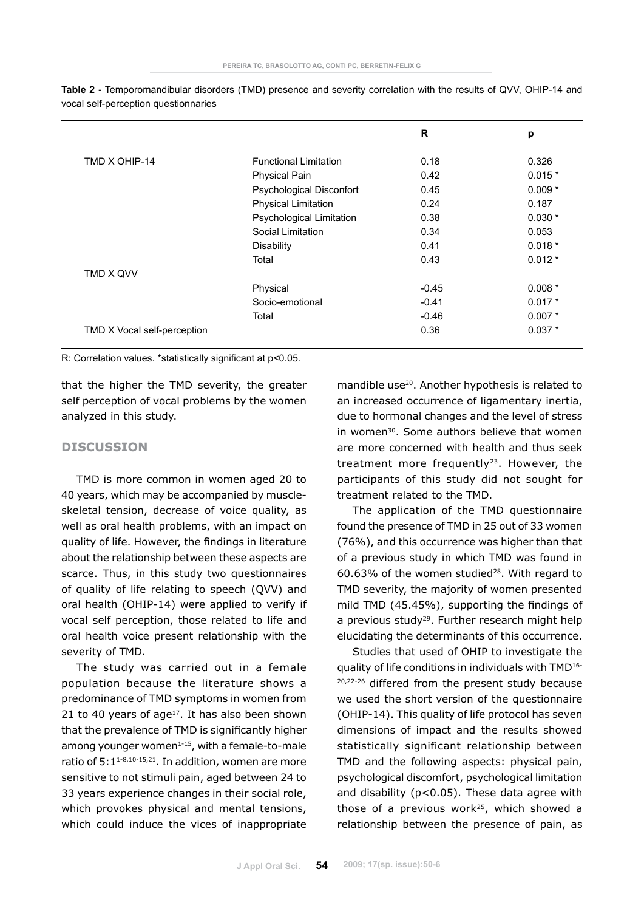|                             |                              | R       | p        |
|-----------------------------|------------------------------|---------|----------|
| TMD X OHIP-14               | <b>Functional Limitation</b> | 0.18    | 0.326    |
|                             | <b>Physical Pain</b>         | 0.42    | $0.015*$ |
|                             | Psychological Disconfort     | 0.45    | $0.009*$ |
|                             | <b>Physical Limitation</b>   | 0.24    | 0.187    |
|                             | Psychological Limitation     | 0.38    | $0.030*$ |
|                             | Social Limitation            | 0.34    | 0.053    |
|                             | <b>Disability</b>            | 0.41    | $0.018*$ |
|                             | Total                        | 0.43    | $0.012*$ |
| TMD X QVV                   |                              |         |          |
|                             | Physical                     | $-0.45$ | $0.008*$ |
|                             | Socio-emotional              | $-0.41$ | $0.017*$ |
|                             | Total                        | $-0.46$ | $0.007*$ |
| TMD X Vocal self-perception |                              | 0.36    | $0.037*$ |

**Table 2 -** Temporomandibular disorders (TMD) presence and severity correlation with the results of QVV, OHIP-14 and vocal self-perception questionnaries

R: Correlation values. \*statistically significant at p<0.05.

that the higher the TMD severity, the greater self perception of vocal problems by the women analyzed in this study.

# **DISCUSSION**

TMD is more common in women aged 20 to 40 years, which may be accompanied by muscleskeletal tension, decrease of voice quality, as well as oral health problems, with an impact on quality of life. However, the findings in literature about the relationship between these aspects are scarce. Thus, in this study two questionnaires of quality of life relating to speech (QVV) and oral health (OHIP-14) were applied to verify if vocal self perception, those related to life and oral health voice present relationship with the severity of TMD.

The study was carried out in a female population because the literature shows a predominance of TMD symptoms in women from 21 to 40 years of age $17$ . It has also been shown that the prevalence of TMD is significantly higher among younger women $1-15$ , with a female-to-male ratio of 5:11-8,10-15,21. In addition, women are more sensitive to not stimuli pain, aged between 24 to 33 years experience changes in their social role, which provokes physical and mental tensions, which could induce the vices of inappropriate mandible use<sup>20</sup>. Another hypothesis is related to an increased occurrence of ligamentary inertia, due to hormonal changes and the level of stress in women<sup>30</sup>. Some authors believe that women are more concerned with health and thus seek treatment more frequently<sup>23</sup>. However, the participants of this study did not sought for treatment related to the TMD.

The application of the TMD questionnaire found the presence of TMD in 25 out of 33 women (76%), and this occurrence was higher than that of a previous study in which TMD was found in 60.63% of the women studied<sup>28</sup>. With regard to TMD severity, the majority of women presented mild TMD (45.45%), supporting the findings of a previous study<sup>29</sup>. Further research might help elucidating the determinants of this occurrence.

Studies that used of OHIP to investigate the quality of life conditions in individuals with TMD16- 20,22-26 differed from the present study because we used the short version of the questionnaire (OHIP-14). This quality of life protocol has seven dimensions of impact and the results showed statistically significant relationship between TMD and the following aspects: physical pain, psychological discomfort, psychological limitation and disability (p<0.05). These data agree with those of a previous work<sup>25</sup>, which showed a relationship between the presence of pain, as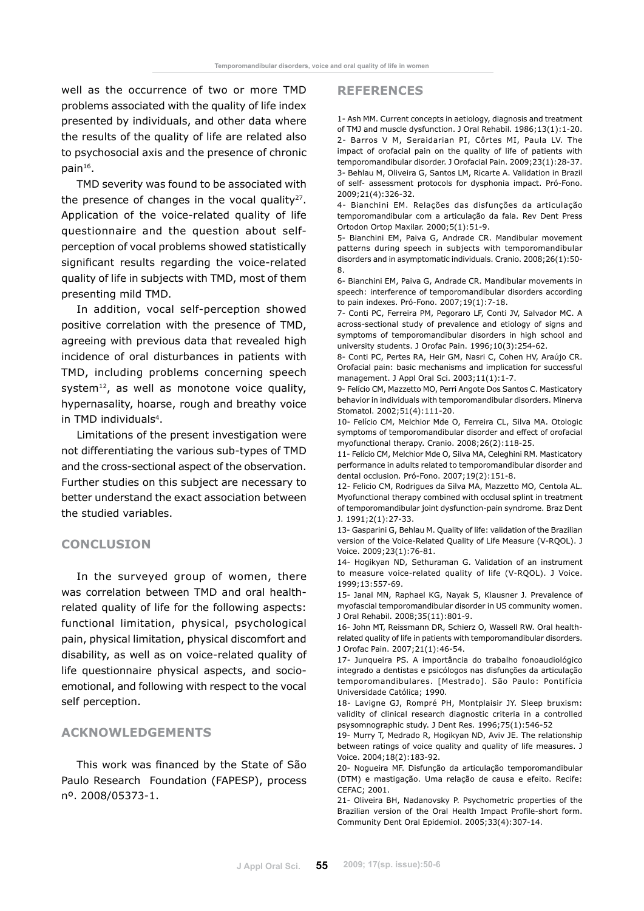well as the occurrence of two or more TMD problems associated with the quality of life index presented by individuals, and other data where the results of the quality of life are related also to psychosocial axis and the presence of chronic pain16.

TMD severity was found to be associated with the presence of changes in the vocal quality $27$ . Application of the voice-related quality of life questionnaire and the question about selfperception of vocal problems showed statistically significant results regarding the voice-related quality of life in subjects with TMD, most of them presenting mild TMD.

In addition, vocal self-perception showed positive correlation with the presence of TMD, agreeing with previous data that revealed high incidence of oral disturbances in patients with TMD, including problems concerning speech system<sup>12</sup>, as well as monotone voice quality, hypernasality, hoarse, rough and breathy voice in TMD individuals<sup>4</sup>.

Limitations of the present investigation were not differentiating the various sub-types of TMD and the cross-sectional aspect of the observation. Further studies on this subject are necessary to better understand the exact association between the studied variables.

#### **Conclusion**

In the surveyed group of women, there was correlation between TMD and oral healthrelated quality of life for the following aspects: functional limitation, physical, psychological pain, physical limitation, physical discomfort and disability, as well as on voice-related quality of life questionnaire physical aspects, and socioemotional, and following with respect to the vocal self perception.

### **AcknowledgEments**

This work was financed by the State of São Paulo Research Foundation (FAPESP), process nº. 2008/05373-1.

#### **References**

1- Ash MM. Current concepts in aetiology, diagnosis and treatment of TMJ and muscle dysfunction. J Oral Rehabil. 1986;13(1):1-20. 2- Barros V M, Seraidarian PI, Côrtes MI, Paula LV. The impact of orofacial pain on the quality of life of patients with temporomandibular disorder. J Orofacial Pain. 2009;23(1):28-37. 3- Behlau M, Oliveira G, Santos LM, Ricarte A. Validation in Brazil of self- assessment protocols for dysphonia impact. Pró-Fono. 2009;21(4):326-32.

4- Bianchini EM. Relações das disfunções da articulação temporomandibular com a articulação da fala. Rev Dent Press Ortodon Ortop Maxilar. 2000;5(1):51-9.

5- Bianchini EM, Paiva G, Andrade CR. Mandibular movement patterns during speech in subjects with temporomandibular disorders and in asymptomatic individuals. Cranio. 2008;26(1):50- 8.

6- Bianchini EM, Paiva G, Andrade CR. Mandibular movements in speech: interference of temporomandibular disorders according to pain indexes. Pró-Fono. 2007;19(1):7-18.

7- Conti PC, Ferreira PM, Pegoraro LF, Conti JV, Salvador MC. A across-sectional study of prevalence and etiology of signs and symptoms of temporomandibular disorders in high school and university students. J Orofac Pain. 1996;10(3):254-62.

8- Conti PC, Pertes RA, Heir GM, Nasri C, Cohen HV, Araújo CR. Orofacial pain: basic mechanisms and implication for successful management. J Appl Oral Sci. 2003;11(1):1-7.

9- Felício CM, Mazzetto MO, Perri Angote Dos Santos C. Masticatory behavior in individuals with temporomandibular disorders. Minerva Stomatol. 2002;51(4):111-20.

10- Felício CM, Melchior Mde O, Ferreira CL, Silva MA. Otologic symptoms of temporomandibular disorder and effect of orofacial myofunctional therapy. Cranio. 2008;26(2):118-25.

11- Felício CM, Melchior Mde O, Silva MA, Celeghini RM. Masticatory performance in adults related to temporomandibular disorder and dental occlusion. Pró-Fono. 2007;19(2):151-8.

12- Felicio CM, Rodrigues da Silva MA, Mazzetto MO, Centola AL. Myofunctional therapy combined with occlusal splint in treatment of temporomandibular joint dysfunction-pain syndrome. Braz Dent J. 1991;2(1):27-33.

13- Gasparini G, Behlau M. Quality of life: validation of the Brazilian version of the Voice-Related Quality of Life Measure (V-RQOL). J Voice. 2009;23(1):76-81.

14- Hogikyan ND, Sethuraman G. Validation of an instrument to measure voice-related quality of life (V-RQOL). J Voice. 1999;13:557-69.

15- Janal MN, Raphael KG, Nayak S, Klausner J. Prevalence of myofascial temporomandibular disorder in US community women. J Oral Rehabil. 2008;35(11):801-9.

16- John MT, Reissmann DR, Schierz O, Wassell RW. Oral healthrelated quality of life in patients with temporomandibular disorders. J Orofac Pain. 2007;21(1):46-54.

17- Junqueira PS. A importância do trabalho fonoaudiológico integrado a dentistas e psicólogos nas disfunções da articulação temporomandibulares. [Mestrado]. São Paulo: Pontifícia Universidade Católica; 1990.

18- Lavigne GJ, Rompré PH, Montplaisir JY. Sleep bruxism: validity of clinical research diagnostic criteria in a controlled psysomnographic study. J Dent Res. 1996;75(1):546-52

19- Murry T, Medrado R, Hogikyan ND, Aviv JE. The relationship between ratings of voice quality and quality of life measures. J Voice. 2004;18(2):183-92.

20- Nogueira MF. Disfunção da articulação temporomandibular (DTM) e mastigação. Uma relação de causa e efeito. Recife: CEFAC; 2001.

21- Oliveira BH, Nadanovsky P. Psychometric properties of the Brazilian version of the Oral Health Impact Profile-short form. Community Dent Oral Epidemiol. 2005;33(4):307-14.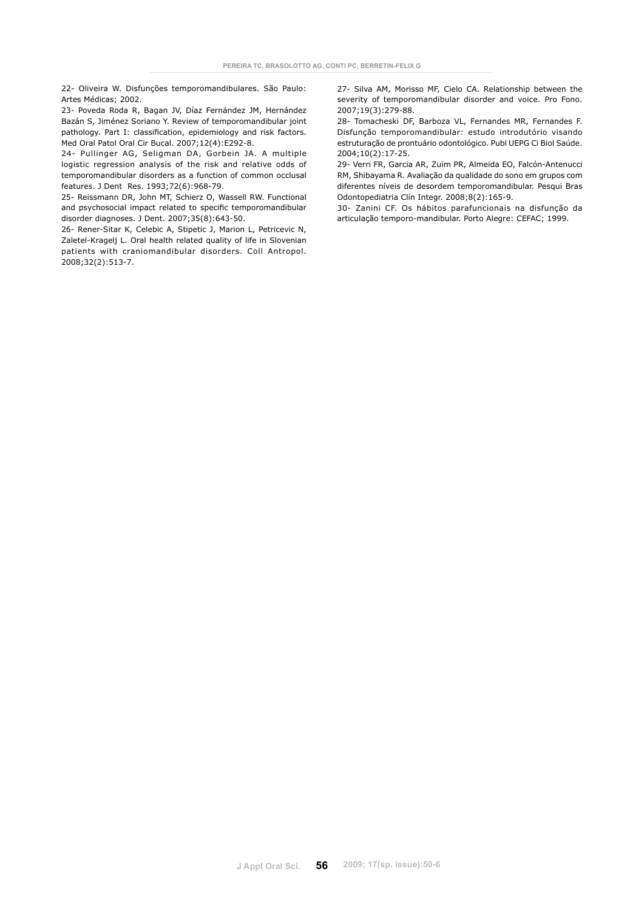22- Oliveira W. Disfunções temporomandibulares. São Paulo: Artes Médicas; 2002.

23- Poveda Roda R, Bagan JV, Díaz Fernández JM, Hernández Bazán S, Jiménez Soriano Y. Review of temporomandibular joint pathology. Part I: classification, epidemiology and risk factors. Med Oral Patol Oral Cir Bucal. 2007;12(4):E292-8.

24- Pullinger AG, Seligman DA, Gorbein JA. A multiple logistic regression analysis of the risk and relative odds of temporomandibular disorders as a function of common occlusal features. J Dent Res. 1993;72(6):968-79.

25- Reissmann DR, John MT, Schierz O, Wassell RW. Functional and psychosocial impact related to specific temporomandibular disorder diagnoses. J Dent. 2007;35(8):643-50.

26- Rener-Sitar K, Celebic A, Stipetic J, Marion L, Petricevic N, Zaletel-Kragelj L. Oral health related quality of life in Slovenian patients with craniomandibular disorders. Coll Antropol. 2008;32(2):513-7.

27- Silva AM, Morisso MF, Cielo CA. Relationship between the severity of temporomandibular disorder and voice. Pro Fono. 2007;19(3):279-88.

28- Tomacheski DF, Barboza VL, Fernandes MR, Fernandes F. Disfunção temporomandibular: estudo introdutório visando estruturação de prontuário odontológico. Publ UEPG Ci Biol Saúde. 2004;10(2):17-25.

29- Verri FR, Garcia AR, Zuim PR, Almeida EO, Falcón-Antenucci RM, Shibayama R. Avaliação da qualidade do sono em grupos com diferentes níveis de desordem temporomandibular. Pesqui Bras Odontopediatria Clín Integr. 2008;8(2):165-9.

30- Zanini CF. Os hábitos parafuncionais na disfunção da articulação temporo-mandibular. Porto Alegre: CEFAC; 1999.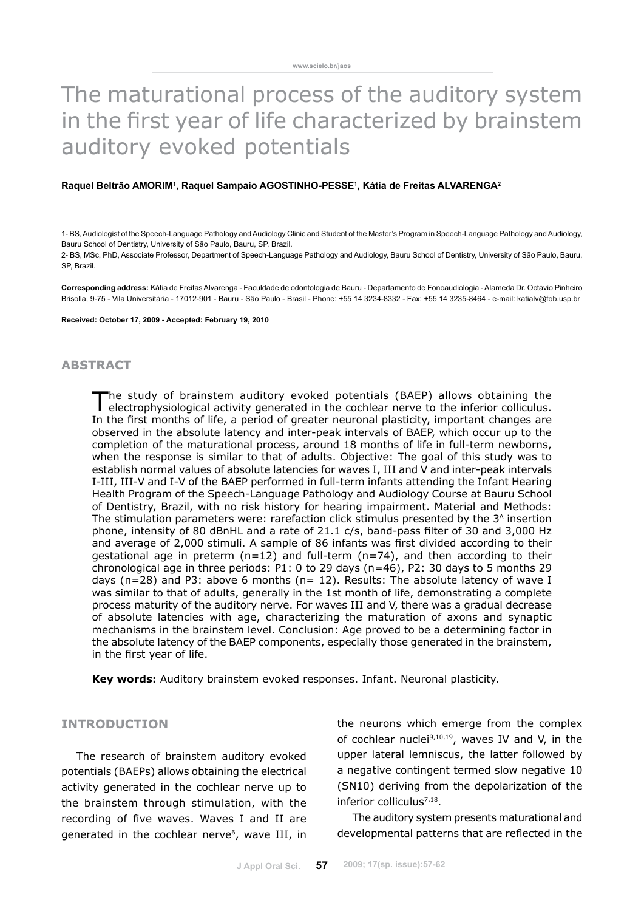# The maturational process of the auditory system in the first year of life characterized by brainstem auditory evoked potentials

#### **Raquel Beltrão Amorim1 , Raquel Sampaio Agostinho-Pesse1 , Kátia de Freitas Alvarenga2**

1- BS, Audiologist of the Speech-Language Pathology and Audiology Clinic and Student of the Master's Program in Speech-Language Pathology and Audiology, Bauru School of Dentistry, University of São Paulo, Bauru, SP, Brazil.

2- BS, MSc, PhD, Associate Professor, Department of Speech-Language Pathology and Audiology, Bauru School of Dentistry, University of São Paulo, Bauru, SP, Brazil.

**Corresponding address:** Kátia de Freitas Alvarenga - Faculdade de odontologia de Bauru - Departamento de Fonoaudiologia - Alameda Dr. Octávio Pinheiro Brisolla, 9-75 - Vila Universitária - 17012-901 - Bauru - São Paulo - Brasil - Phone: +55 14 3234-8332 - Fax: +55 14 3235-8464 - e-mail: katialv@fob.usp.br

#### **Received: October 17, 2009 - Accepted: February 19, 2010**

# **abstract**

The study of brainstem auditory evoked potentials (BAEP) allows obtaining the electrophysiological activity generated in the cochlear nerve to the inferior colliculus. In the first months of life, a period of greater neuronal plasticity, important changes are observed in the absolute latency and inter-peak intervals of BAEP, which occur up to the completion of the maturational process, around 18 months of life in full-term newborns, when the response is similar to that of adults. Objective: The goal of this study was to establish normal values of absolute latencies for waves I, III and V and inter-peak intervals I-III, III-V and I-V of the BAEP performed in full-term infants attending the Infant Hearing Health Program of the Speech-Language Pathology and Audiology Course at Bauru School of Dentistry, Brazil, with no risk history for hearing impairment. Material and Methods: The stimulation parameters were: rarefaction click stimulus presented by the 3<sup>A</sup> insertion phone, intensity of 80 dBnHL and a rate of 21.1 c/s, band-pass filter of 30 and 3,000 Hz and average of 2,000 stimuli. A sample of 86 infants was first divided according to their gestational age in preterm (n=12) and full-term (n=74), and then according to their chronological age in three periods: P1: 0 to 29 days (n=46), P2: 30 days to 5 months 29 days (n=28) and P3: above 6 months (n= 12). Results: The absolute latency of wave I was similar to that of adults, generally in the 1st month of life, demonstrating a complete process maturity of the auditory nerve. For waves III and V, there was a gradual decrease of absolute latencies with age, characterizing the maturation of axons and synaptic mechanisms in the brainstem level. Conclusion: Age proved to be a determining factor in the absolute latency of the BAEP components, especially those generated in the brainstem, in the first year of life.

**Key words:** Auditory brainstem evoked responses. Infant. Neuronal plasticity.

### **INTRODUCTION**

The research of brainstem auditory evoked potentials (BAEPs) allows obtaining the electrical activity generated in the cochlear nerve up to the brainstem through stimulation, with the recording of five waves. Waves I and II are generated in the cochlear nerve<sup>6</sup>, wave III, in the neurons which emerge from the complex of cochlear nuclei $9,10,19$ , waves IV and V, in the upper lateral lemniscus, the latter followed by a negative contingent termed slow negative 10 (SN10) deriving from the depolarization of the inferior colliculus<sup>7,18</sup>.

The auditory system presents maturational and developmental patterns that are reflected in the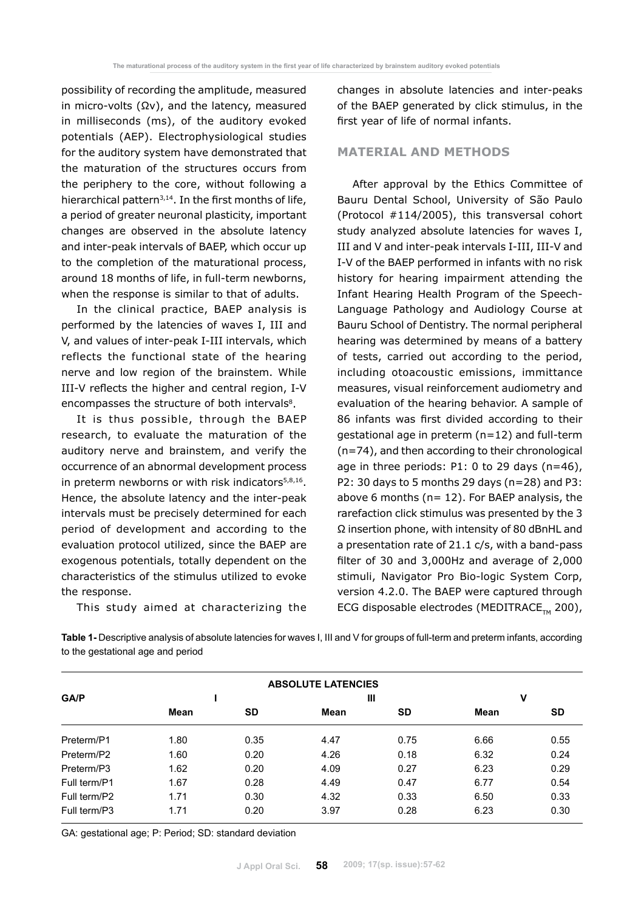possibility of recording the amplitude, measured in micro-volts (Ωv), and the latency, measured in milliseconds (ms), of the auditory evoked potentials (AEP). Electrophysiological studies for the auditory system have demonstrated that the maturation of the structures occurs from the periphery to the core, without following a hierarchical pattern<sup>3,14</sup>. In the first months of life, a period of greater neuronal plasticity, important changes are observed in the absolute latency and inter-peak intervals of BAEP, which occur up to the completion of the maturational process, around 18 months of life, in full-term newborns, when the response is similar to that of adults.

In the clinical practice, BAEP analysis is performed by the latencies of waves I, III and V, and values of inter-peak I-III intervals, which reflects the functional state of the hearing nerve and low region of the brainstem. While III-V reflects the higher and central region, I-V encompasses the structure of both intervals<sup>8</sup>.

It is thus possible, through the BAEP research, to evaluate the maturation of the auditory nerve and brainstem, and verify the occurrence of an abnormal development process in preterm newborns or with risk indicators<sup>5,8,16</sup>. Hence, the absolute latency and the inter-peak intervals must be precisely determined for each period of development and according to the evaluation protocol utilized, since the BAEP are exogenous potentials, totally dependent on the characteristics of the stimulus utilized to evoke the response.

This study aimed at characterizing the

changes in absolute latencies and inter-peaks of the BAEP generated by click stimulus, in the first year of life of normal infants.

### **Material and Methods**

After approval by the Ethics Committee of Bauru Dental School, University of São Paulo (Protocol #114/2005), this transversal cohort study analyzed absolute latencies for waves I, III and V and inter-peak intervals I-III, III-V and I-V of the BAEP performed in infants with no risk history for hearing impairment attending the Infant Hearing Health Program of the Speech-Language Pathology and Audiology Course at Bauru School of Dentistry. The normal peripheral hearing was determined by means of a battery of tests, carried out according to the period, including otoacoustic emissions, immittance measures, visual reinforcement audiometry and evaluation of the hearing behavior. A sample of 86 infants was first divided according to their gestational age in preterm (n=12) and full-term (n=74), and then according to their chronological age in three periods: P1: 0 to 29 days (n=46), P2: 30 days to 5 months 29 days (n=28) and P3: above 6 months (n= 12). For BAEP analysis, the rarefaction click stimulus was presented by the 3 Ω insertion phone, with intensity of 80 dBnHL and a presentation rate of 21.1 c/s, with a band-pass filter of 30 and 3,000Hz and average of 2,000 stimuli, Navigator Pro Bio-logic System Corp, version 4.2.0. The BAEP were captured through ECG disposable electrodes (MEDITRACE<sub>TM</sub> 200),

**Table 1-** Descriptive analysis of absolute latencies for waves I, III and V for groups of full-term and preterm infants, according to the gestational age and period

| <b>ABSOLUTE LATENCIES</b> |      |           |      |           |      |      |  |  |
|---------------------------|------|-----------|------|-----------|------|------|--|--|
| GA/P                      |      |           |      | Ш         | ٧    |      |  |  |
|                           | Mean | <b>SD</b> | Mean | <b>SD</b> | Mean | SD   |  |  |
| Preterm/P1                | 1.80 | 0.35      | 4.47 | 0.75      | 6.66 | 0.55 |  |  |
| Preterm/P2                | 1.60 | 0.20      | 4.26 | 0.18      | 6.32 | 0.24 |  |  |
| Preterm/P3                | 1.62 | 0.20      | 4.09 | 0.27      | 6.23 | 0.29 |  |  |
| Full term/P1              | 1.67 | 0.28      | 4.49 | 0.47      | 6.77 | 0.54 |  |  |
| Full term/P2              | 1.71 | 0.30      | 4.32 | 0.33      | 6.50 | 0.33 |  |  |
| Full term/P3              | 1.71 | 0.20      | 3.97 | 0.28      | 6.23 | 0.30 |  |  |

GA: gestational age; P: Period; SD: standard deviation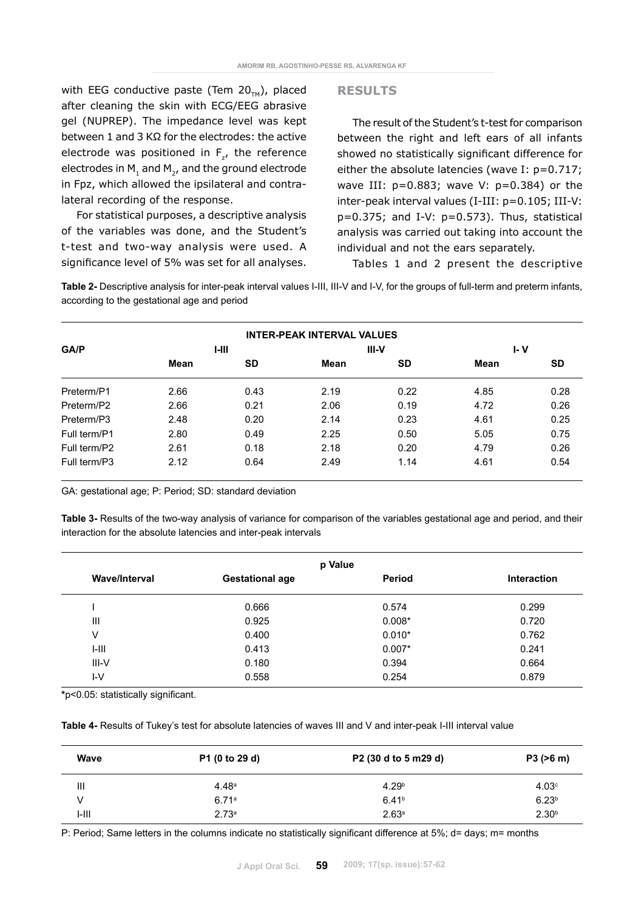with EEG conductive paste (Tem  $20<sub>TM</sub>$ ), placed after cleaning the skin with ECG/EEG abrasive gel (NUPREP). The impedance level was kept between 1 and 3 KΩ for the electrodes: the active electrode was positioned in  $F_{z}$ , the reference electrodes in  $M_1$  and  $M_2$ , and the ground electrode in Fpz, which allowed the ipsilateral and contralateral recording of the response.

For statistical purposes, a descriptive analysis of the variables was done, and the Student's t-test and two-way analysis were used. A significance level of 5% was set for all analyses.

#### **Results**

The result of the Student's t-test for comparison between the right and left ears of all infants showed no statistically significant difference for either the absolute latencies (wave I: p=0.717; wave III:  $p=0.883$ ; wave V:  $p=0.384$ ) or the inter-peak interval values (I-III: p=0.105; III-V:  $p=0.375$ ; and I-V:  $p=0.573$ ). Thus, statistical analysis was carried out taking into account the individual and not the ears separately.

Tables 1 and 2 present the descriptive

**Table 2-** Descriptive analysis for inter-peak interval values I-III, III-V and I-V, for the groups of full-term and preterm infants, according to the gestational age and period

|              |      |           | <b>INTER-PEAK INTERVAL VALUES</b> |       |      |           |
|--------------|------|-----------|-----------------------------------|-------|------|-----------|
| <b>GA/P</b>  |      | $1-111$   |                                   | III-V | I- V |           |
|              | Mean | <b>SD</b> | Mean                              | SD    | Mean | <b>SD</b> |
| Preterm/P1   | 2.66 | 0.43      | 2.19                              | 0.22  | 4.85 | 0.28      |
| Preterm/P2   | 2.66 | 0.21      | 2.06                              | 0.19  | 4.72 | 0.26      |
| Preterm/P3   | 2.48 | 0.20      | 2.14                              | 0.23  | 4.61 | 0.25      |
| Full term/P1 | 2.80 | 0.49      | 2.25                              | 0.50  | 5.05 | 0.75      |
| Full term/P2 | 2.61 | 0.18      | 2.18                              | 0.20  | 4.79 | 0.26      |
| Full term/P3 | 2.12 | 0.64      | 2.49                              | 1.14  | 4.61 | 0.54      |

GA: gestational age; P: Period; SD: standard deviation

**Table 3-** Results of the two-way analysis of variance for comparison of the variables gestational age and period, and their interaction for the absolute latencies and inter-peak intervals

| p Value              |                        |               |                    |  |  |  |
|----------------------|------------------------|---------------|--------------------|--|--|--|
| <b>Wave/Interval</b> | <b>Gestational age</b> | <b>Period</b> | <b>Interaction</b> |  |  |  |
|                      | 0.666                  | 0.574         | 0.299              |  |  |  |
| Ш                    | 0.925                  | $0.008*$      | 0.720              |  |  |  |
| V                    | 0.400                  | $0.010*$      | 0.762              |  |  |  |
| $I-III$              | 0.413                  | $0.007*$      | 0.241              |  |  |  |
| III-V                | 0.180                  | 0.394         | 0.664              |  |  |  |
| IV                   | 0.558                  | 0.254         | 0.879              |  |  |  |

**\***p<0.05: statistically significant.

**Table 4-** Results of Tukey's test for absolute latencies of waves III and V and inter-peak I-III interval value

| Wave  | P1 (0 to 29 d)    | P <sub>2</sub> (30 d to 5 m <sub>29</sub> d) | P3 (>6 m)         |  |
|-------|-------------------|----------------------------------------------|-------------------|--|
| Ш     | 4.48a             | 4.29 <sup>b</sup>                            | 4.03 <sup>c</sup> |  |
|       | 6.71a             | 6.41 <sup>b</sup>                            | 6.23 <sup>b</sup> |  |
| I-III | 2.73 <sup>a</sup> | 2.63 <sup>a</sup>                            | 2.30 <sup>b</sup> |  |

P: Period; Same letters in the columns indicate no statistically significant difference at 5%; d= days; m= months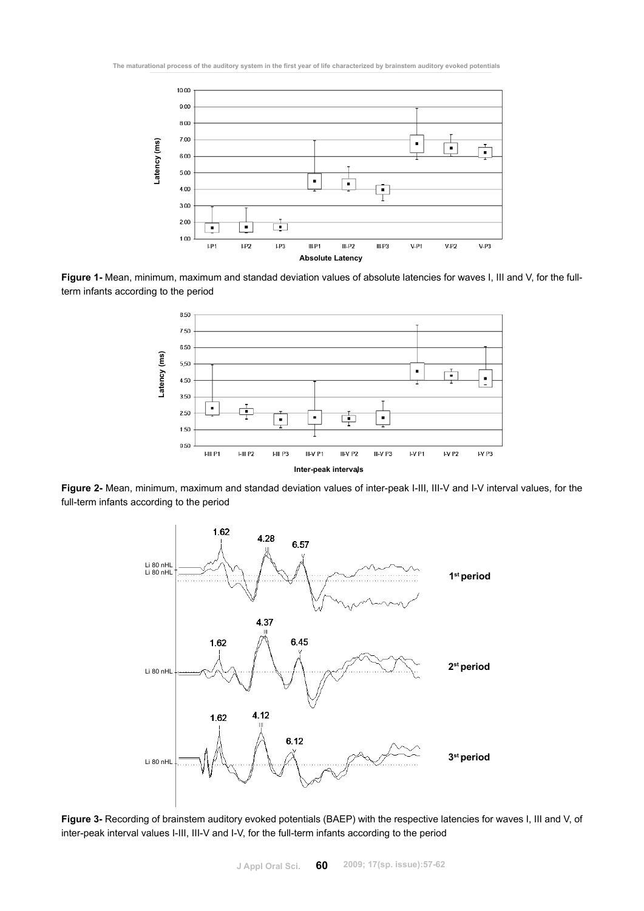

**Figure 1-** Mean, minimum, maximum and standad deviation values of absolute latencies for waves I, III and V, for the fullterm infants according to the period



**Figure 2-** Mean, minimum, maximum and standad deviation values of inter-peak I-III, III-V and I-V interval values, for the full-term infants according to the period



**Figure 3-** Recording of brainstem auditory evoked potentials (BAEP) with the respective latencies for waves I, III and V, of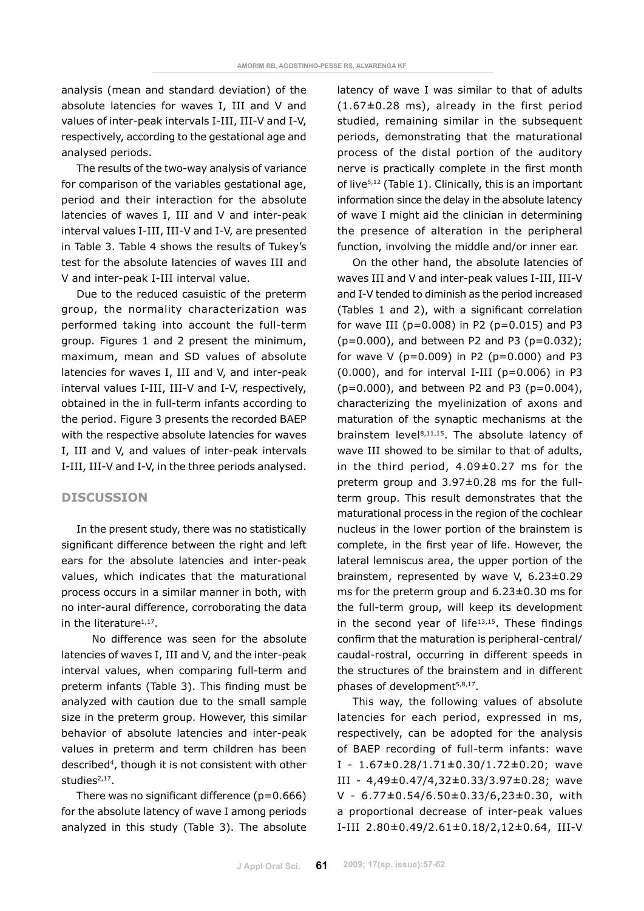analysis (mean and standard deviation) of the absolute latencies for waves I, III and V and values of inter-peak intervals I-III, III-V and I-V, respectively, according to the gestational age and analysed periods.

The results of the two-way analysis of variance for comparison of the variables gestational age, period and their interaction for the absolute latencies of waves I, III and V and inter-peak interval values I-III, III-V and I-V, are presented in Table 3. Table 4 shows the results of Tukey's test for the absolute latencies of waves III and V and inter-peak I-III interval value.

Due to the reduced casuistic of the preterm group, the normality characterization was performed taking into account the full-term group. Figures 1 and 2 present the minimum, maximum, mean and SD values of absolute latencies for waves I, III and V, and inter-peak interval values I-III, III-V and I-V, respectively, obtained in the in full-term infants according to the period. Figure 3 presents the recorded BAEP with the respective absolute latencies for waves I, III and V, and values of inter-peak intervals I-III, III-V and I-V, in the three periods analysed.

# **Discussion**

In the present study, there was no statistically significant difference between the right and left ears for the absolute latencies and inter-peak values, which indicates that the maturational process occurs in a similar manner in both, with no inter-aural difference, corroborating the data in the literature1,17.

No difference was seen for the absolute latencies of waves I, III and V, and the inter-peak interval values, when comparing full-term and preterm infants (Table 3). This finding must be analyzed with caution due to the small sample size in the preterm group. However, this similar behavior of absolute latencies and inter-peak values in preterm and term children has been described<sup>4</sup>, though it is not consistent with other studies<sup>2,17</sup>.

There was no significant difference  $(p=0.666)$ for the absolute latency of wave I among periods analyzed in this study (Table 3). The absolute latency of wave I was similar to that of adults  $(1.67\pm0.28$  ms), already in the first period studied, remaining similar in the subsequent periods, demonstrating that the maturational process of the distal portion of the auditory nerve is practically complete in the first month of live<sup>5,12</sup> (Table 1). Clinically, this is an important information since the delay in the absolute latency of wave I might aid the clinician in determining the presence of alteration in the peripheral function, involving the middle and/or inner ear.

On the other hand, the absolute latencies of waves III and V and inter-peak values I-III, III-V and I-V tended to diminish as the period increased (Tables 1 and 2), with a significant correlation for wave III ( $p=0.008$ ) in P2 ( $p=0.015$ ) and P3  $(p=0.000)$ , and between P2 and P3 ( $p=0.032$ ); for wave V ( $p=0.009$ ) in P2 ( $p=0.000$ ) and P3  $(0.000)$ , and for interval I-III  $(p=0.006)$  in P3  $(p=0.000)$ , and between P2 and P3 ( $p=0.004$ ), characterizing the myelinization of axons and maturation of the synaptic mechanisms at the brainstem level<sup>8,11,15</sup>. The absolute latency of wave III showed to be similar to that of adults, in the third period, 4.09±0.27 ms for the preterm group and 3.97±0.28 ms for the fullterm group. This result demonstrates that the maturational process in the region of the cochlear nucleus in the lower portion of the brainstem is complete, in the first year of life. However, the lateral lemniscus area, the upper portion of the brainstem, represented by wave V, 6.23±0.29 ms for the preterm group and 6.23±0.30 ms for the full-term group, will keep its development in the second year of life<sup>13,15</sup>. These findings confirm that the maturation is peripheral-central/ caudal-rostral, occurring in different speeds in the structures of the brainstem and in different phases of development<sup>5,8,17</sup>.

This way, the following values of absolute latencies for each period, expressed in ms, respectively, can be adopted for the analysis of BAEP recording of full-term infants: wave I - 1.67±0.28/1.71±0.30/1.72±0.20; wave III - 4,49±0.47/4,32±0.33/3.97±0.28; wave V - 6.77±0.54/6.50±0.33/6,23±0.30, with a proportional decrease of inter-peak values I-III 2.80±0.49/2.61±0.18/2,12±0.64, III-V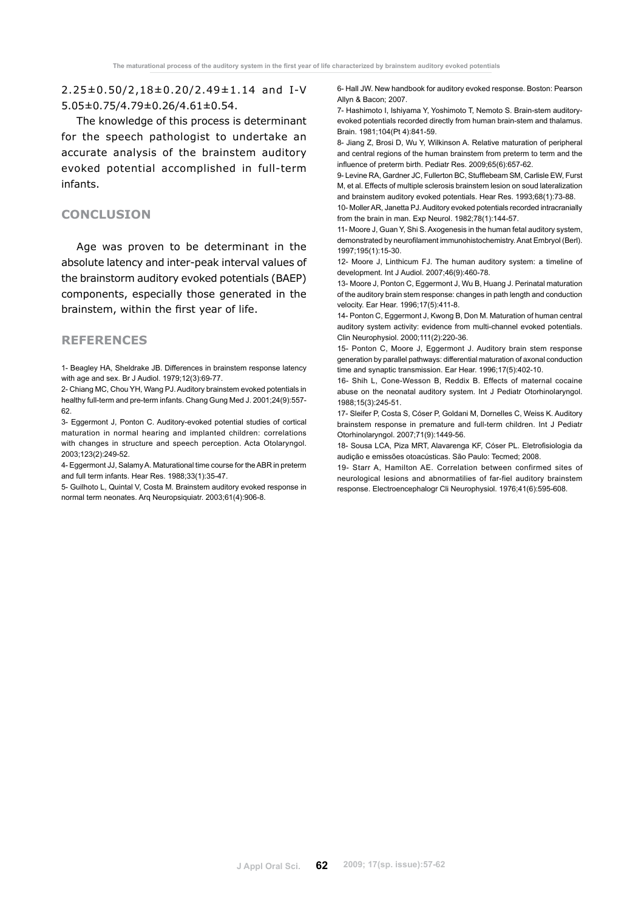2.25±0.50/2,18±0.20/2.49±1.14 and I-V 5.05±0.75/4.79±0.26/4.61±0.54.

The knowledge of this process is determinant for the speech pathologist to undertake an accurate analysis of the brainstem auditory evoked potential accomplished in full-term infants.

# **Conclusion**

Age was proven to be determinant in the absolute latency and inter-peak interval values of the brainstorm auditory evoked potentials (BAEP) components, especially those generated in the brainstem, within the first year of life.

# **References**

1- Beagley HA, Sheldrake JB. Differences in brainstem response latency with age and sex. Br J Audiol. 1979;12(3):69-77.

2- Chiang MC, Chou YH, Wang PJ. Auditory brainstem evoked potentials in healthy full-term and pre-term infants. Chang Gung Med J. 2001;24(9):557- 62.

3- Eggermont J, Ponton C. Auditory-evoked potential studies of cortical maturation in normal hearing and implanted children: correlations with changes in structure and speech perception. Acta Otolaryngol. 2003;123(2):249-52.

4- Eggermont JJ, Salamy A. Maturational time course for the ABR in preterm and full term infants. Hear Res. 1988;33(1):35-47.

5- Guilhoto L, Quintal V, Costa M. Brainstem auditory evoked response in normal term neonates. Arq Neuropsiquiatr. 2003;61(4):906-8.

6- Hall JW. New handbook for auditory evoked response. Boston: Pearson Allyn & Bacon; 2007.

7- Hashimoto I, Ishiyama Y, Yoshimoto T, Nemoto S. Brain-stem auditoryevoked potentials recorded directly from human brain-stem and thalamus. Brain. 1981;104(Pt 4):841-59.

8- Jiang Z, Brosi D, Wu Y, Wilkinson A. Relative maturation of peripheral and central regions of the human brainstem from preterm to term and the influence of preterm birth. Pediatr Res. 2009;65(6):657-62.

9- Levine RA, Gardner JC, Fullerton BC, Stufflebeam SM, Carlisle EW, Furst M, et al. Effects of multiple sclerosis brainstem lesion on soud lateralization and brainstem auditory evoked potentials. Hear Res. 1993;68(1):73-88.

10- Moller AR, Janetta PJ. Auditory evoked potentials recorded intracranially from the brain in man. Exp Neurol. 1982;78(1):144-57.

11- Moore J, Guan Y, Shi S. Axogenesis in the human fetal auditory system, demonstrated by neurofilament immunohistochemistry. Anat Embryol (Berl). 1997;195(1):15-30.

12- Moore J, Linthicum FJ. The human auditory system: a timeline of development. Int J Audiol. 2007;46(9):460-78.

13- Moore J, Ponton C, Eggermont J, Wu B, Huang J. Perinatal maturation of the auditory brain stem response: changes in path length and conduction velocity. Ear Hear. 1996;17(5):411-8.

14- Ponton C, Eggermont J, Kwong B, Don M. Maturation of human central auditory system activity: evidence from multi-channel evoked potentials. Clin Neurophysiol. 2000;111(2):220-36.

15- Ponton C, Moore J, Eggermont J. Auditory brain stem response generation by parallel pathways: differential maturation of axonal conduction time and synaptic transmission. Ear Hear. 1996;17(5):402-10.

16- Shih L, Cone-Wesson B, Reddix B. Effects of maternal cocaine abuse on the neonatal auditory system. Int J Pediatr Otorhinolaryngol. 1988;15(3):245-51.

17- Sleifer P, Costa S, Cóser P, Goldani M, Dornelles C, Weiss K. Auditory brainstem response in premature and full-term children. Int J Pediatr Otorhinolaryngol. 2007;71(9):1449-56.

18- Sousa LCA, Piza MRT, Alavarenga KF, Cóser PL. Eletrofisiologia da audição e emissões otoacústicas. São Paulo: Tecmed; 2008.

19- Starr A, Hamilton AE. Correlation between confirmed sites of neurological lesions and abnormatilies of far-fiel auditory brainstem response. Electroencephalogr Cli Neurophysiol. 1976;41(6):595-608.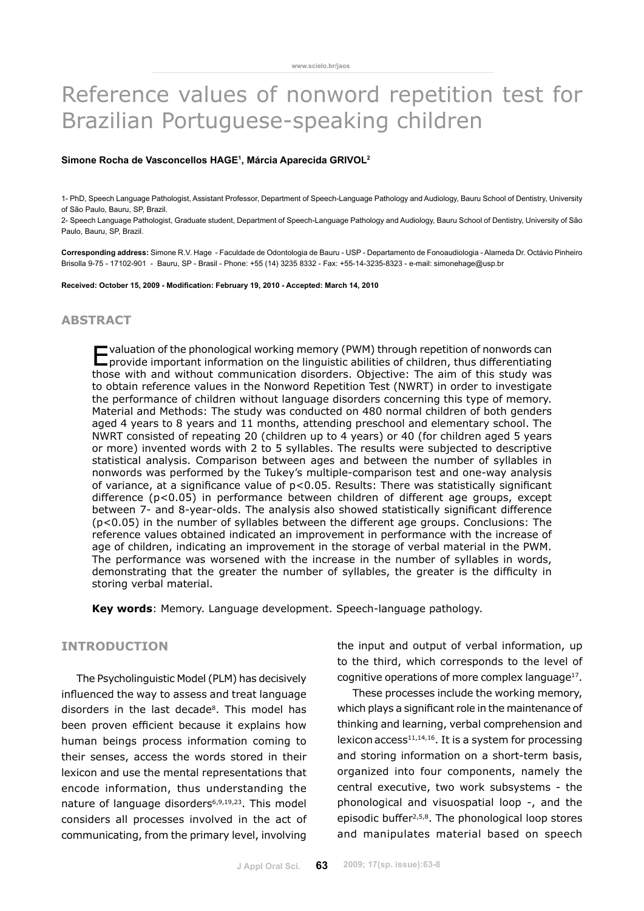# Reference values of nonword repetition test for Brazilian Portuguese-speaking children

#### **Simone Rocha de Vasconcellos Hage1 , Márcia Aparecida Grivol2**

1- PhD, Speech Language Pathologist, Assistant Professor, Department of Speech-Language Pathology and Audiology, Bauru School of Dentistry, University of São Paulo, Bauru, SP, Brazil.

2- Speech Language Pathologist, Graduate student, Department of Speech-Language Pathology and Audiology, Bauru School of Dentistry, University of São Paulo, Bauru, SP, Brazil.

**Corresponding address:** Simone R.V. Hage - Faculdade de Odontologia de Bauru - USP - Departamento de Fonoaudiologia - Alameda Dr. Octávio Pinheiro Brisolla 9-75 - 17102-901 - Bauru, SP - Brasil - Phone: +55 (14) 3235 8332 - Fax: +55-14-3235-8323 - e-mail: simonehage@usp.br

**Received: October 15, 2009 - Modification: February 19, 2010 - Accepted: March 14, 2010**

# **abstract**

Evaluation of the phonological working memory (PWM) through repetition of nonwords can provide important information on the linguistic abilities of children, thus differentiating those with and without communication disorders. Objective: The aim of this study was to obtain reference values in the Nonword Repetition Test (NWRT) in order to investigate the performance of children without language disorders concerning this type of memory. Material and Methods: The study was conducted on 480 normal children of both genders aged 4 years to 8 years and 11 months, attending preschool and elementary school. The NWRT consisted of repeating 20 (children up to 4 years) or 40 (for children aged 5 years or more) invented words with 2 to 5 syllables. The results were subjected to descriptive statistical analysis. Comparison between ages and between the number of syllables in nonwords was performed by the Tukey's multiple-comparison test and one-way analysis of variance, at a significance value of p<0.05. Results: There was statistically significant difference (p<0.05) in performance between children of different age groups, except between 7- and 8-year-olds. The analysis also showed statistically significant difference (p<0.05) in the number of syllables between the different age groups. Conclusions: The reference values obtained indicated an improvement in performance with the increase of age of children, indicating an improvement in the storage of verbal material in the PWM. The performance was worsened with the increase in the number of syllables in words, demonstrating that the greater the number of syllables, the greater is the difficulty in storing verbal material.

**Key words**: Memory. Language development. Speech-language pathology.

## **Introduction**

The Psycholinguistic Model (PLM) has decisively influenced the way to assess and treat language disorders in the last decade<sup>8</sup>. This model has been proven efficient because it explains how human beings process information coming to their senses, access the words stored in their lexicon and use the mental representations that encode information, thus understanding the nature of language disorders<sup>6,9,19,23</sup>. This model considers all processes involved in the act of communicating, from the primary level, involving the input and output of verbal information, up to the third, which corresponds to the level of cognitive operations of more complex language<sup>17</sup>.

These processes include the working memory, which plays a significant role in the maintenance of thinking and learning, verbal comprehension and lexicon  $access^{11,14,16}$ . It is a system for processing and storing information on a short-term basis, organized into four components, namely the central executive, two work subsystems - the phonological and visuospatial loop -, and the episodic buffer2,5,8. The phonological loop stores and manipulates material based on speech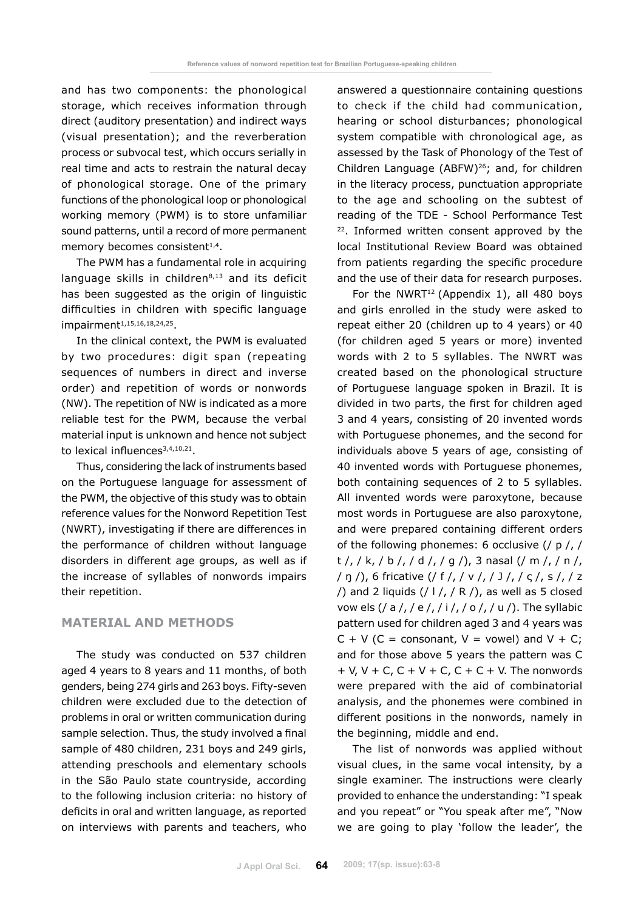and has two components: the phonological storage, which receives information through direct (auditory presentation) and indirect ways (visual presentation); and the reverberation process or subvocal test, which occurs serially in real time and acts to restrain the natural decay of phonological storage. One of the primary functions of the phonological loop or phonological working memory (PWM) is to store unfamiliar sound patterns, until a record of more permanent memory becomes consistent<sup>1,4</sup>.

The PWM has a fundamental role in acquiring language skills in children<sup>8,13</sup> and its deficit has been suggested as the origin of linguistic difficulties in children with specific language impairment<sup>1,15,16,18,24,25</sup>.

In the clinical context, the PWM is evaluated by two procedures: digit span (repeating sequences of numbers in direct and inverse order) and repetition of words or nonwords (NW). The repetition of NW is indicated as a more reliable test for the PWM, because the verbal material input is unknown and hence not subject to lexical influences $3,4,10,21$ .

Thus, considering the lack of instruments based on the Portuguese language for assessment of the PWM, the objective of this study was to obtain reference values for the Nonword Repetition Test (NWRT), investigating if there are differences in the performance of children without language disorders in different age groups, as well as if the increase of syllables of nonwords impairs their repetition.

### **Material and methods**

The study was conducted on 537 children aged 4 years to 8 years and 11 months, of both genders, being 274 girls and 263 boys. Fifty-seven children were excluded due to the detection of problems in oral or written communication during sample selection. Thus, the study involved a final sample of 480 children, 231 boys and 249 girls, attending preschools and elementary schools in the São Paulo state countryside, according to the following inclusion criteria: no history of deficits in oral and written language, as reported on interviews with parents and teachers, who answered a questionnaire containing questions to check if the child had communication, hearing or school disturbances; phonological system compatible with chronological age, as assessed by the Task of Phonology of the Test of Children Language (ABFW)26; and, for children in the literacy process, punctuation appropriate to the age and schooling on the subtest of reading of the TDE - School Performance Test <sup>22</sup>. Informed written consent approved by the local Institutional Review Board was obtained from patients regarding the specific procedure and the use of their data for research purposes.

For the NWRT<sup>12</sup> (Appendix 1), all 480 boys and girls enrolled in the study were asked to repeat either 20 (children up to 4 years) or 40 (for children aged 5 years or more) invented words with 2 to 5 syllables. The NWRT was created based on the phonological structure of Portuguese language spoken in Brazil. It is divided in two parts, the first for children aged 3 and 4 years, consisting of 20 invented words with Portuguese phonemes, and the second for individuals above 5 years of age, consisting of 40 invented words with Portuguese phonemes, both containing sequences of 2 to 5 syllables. All invented words were paroxytone, because most words in Portuguese are also paroxytone, and were prepared containing different orders of the following phonemes: 6 occlusive (/ p /, /  $t /$ ,  $/k$ ,  $/b /$ ,  $/d /$ ,  $/g /$ ), 3 nasal ( $/m /$ ,  $/n /$ , / ŋ /), 6 fricative (/ f /, / v /, / J /, / ς /, s /, / z  $/$ ) and 2 liquids ( $/$  l  $/$ ,  $/$  R  $/$ ), as well as 5 closed vow els (/ a /, / e /, / i /, / o /, / u /). The syllabic pattern used for children aged 3 and 4 years was  $C + V$  (C = consonant, V = vowel) and V + C; and for those above 5 years the pattern was C  $+ V$ ,  $V + C$ ,  $C + V + C$ ,  $C + C + V$ . The nonwords were prepared with the aid of combinatorial analysis, and the phonemes were combined in different positions in the nonwords, namely in the beginning, middle and end.

The list of nonwords was applied without visual clues, in the same vocal intensity, by a single examiner. The instructions were clearly provided to enhance the understanding: "I speak and you repeat" or "You speak after me", "Now we are going to play 'follow the leader', the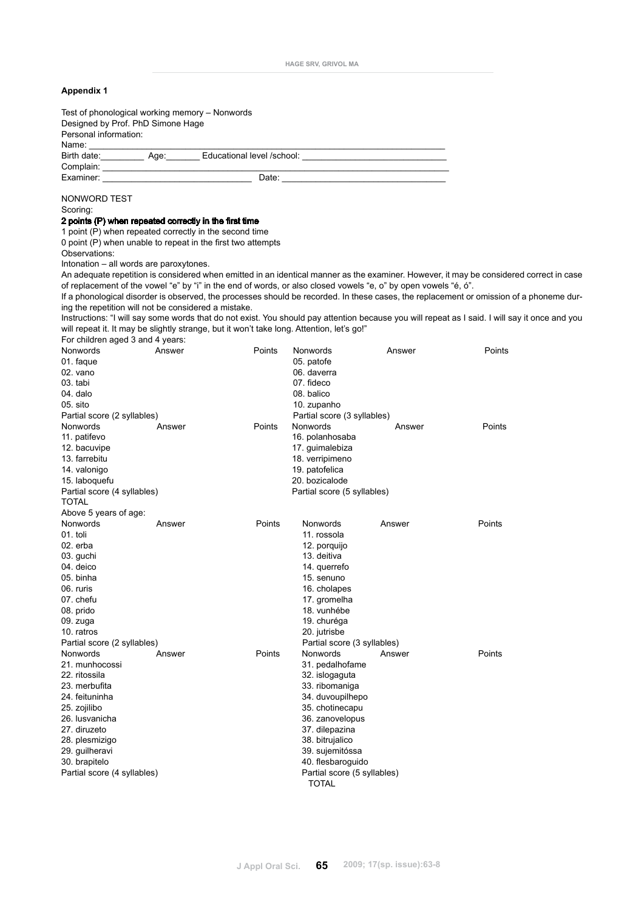| <b>Appendix 1</b>                                                                                                                                                                                                             |        |                                                                                                                 |                                                                                                                                                                                                                                |        |                                                                                                                                                |
|-------------------------------------------------------------------------------------------------------------------------------------------------------------------------------------------------------------------------------|--------|-----------------------------------------------------------------------------------------------------------------|--------------------------------------------------------------------------------------------------------------------------------------------------------------------------------------------------------------------------------|--------|------------------------------------------------------------------------------------------------------------------------------------------------|
| Test of phonological working memory – Nonwords<br>Designed by Prof. PhD Simone Hage<br>Personal information:                                                                                                                  |        |                                                                                                                 |                                                                                                                                                                                                                                |        |                                                                                                                                                |
| Name:                                                                                                                                                                                                                         |        |                                                                                                                 |                                                                                                                                                                                                                                |        |                                                                                                                                                |
|                                                                                                                                                                                                                               |        | Birth date: ____________ Age: ________ Educational level /school: __________________________________            |                                                                                                                                                                                                                                |        |                                                                                                                                                |
| Examiner: The contract of the contract of the contract of the contract of the contract of the contract of the contract of the contract of the contract of the contract of the contract of the contract of the contract of the |        |                                                                                                                 | Date: the contract of the contract of the contract of the contract of the contract of the contract of the contract of the contract of the contract of the contract of the contract of the contract of the contract of the cont |        |                                                                                                                                                |
|                                                                                                                                                                                                                               |        |                                                                                                                 |                                                                                                                                                                                                                                |        |                                                                                                                                                |
| NONWORD TEST                                                                                                                                                                                                                  |        |                                                                                                                 |                                                                                                                                                                                                                                |        |                                                                                                                                                |
| Scoring:                                                                                                                                                                                                                      |        |                                                                                                                 |                                                                                                                                                                                                                                |        |                                                                                                                                                |
| 2 points (P) when repeated correctly in the first time                                                                                                                                                                        |        |                                                                                                                 |                                                                                                                                                                                                                                |        |                                                                                                                                                |
| 1 point (P) when repeated correctly in the second time                                                                                                                                                                        |        |                                                                                                                 |                                                                                                                                                                                                                                |        |                                                                                                                                                |
| 0 point (P) when unable to repeat in the first two attempts<br>Observations:                                                                                                                                                  |        |                                                                                                                 |                                                                                                                                                                                                                                |        |                                                                                                                                                |
| Intonation - all words are paroxytones.                                                                                                                                                                                       |        |                                                                                                                 |                                                                                                                                                                                                                                |        |                                                                                                                                                |
|                                                                                                                                                                                                                               |        |                                                                                                                 |                                                                                                                                                                                                                                |        | An adequate repetition is considered when emitted in an identical manner as the examiner. However, it may be considered correct in case        |
|                                                                                                                                                                                                                               |        | of replacement of the vowel "e" by "i" in the end of words, or also closed vowels "e, o" by open vowels "é, ó". |                                                                                                                                                                                                                                |        |                                                                                                                                                |
|                                                                                                                                                                                                                               |        |                                                                                                                 |                                                                                                                                                                                                                                |        | If a phonological disorder is observed, the processes should be recorded. In these cases, the replacement or omission of a phoneme dur-        |
| ing the repetition will not be considered a mistake.                                                                                                                                                                          |        |                                                                                                                 |                                                                                                                                                                                                                                |        |                                                                                                                                                |
|                                                                                                                                                                                                                               |        | will repeat it. It may be slightly strange, but it won't take long. Attention, let's go!"                       |                                                                                                                                                                                                                                |        | Instructions: "I will say some words that do not exist. You should pay attention because you will repeat as I said. I will say it once and you |
| For children aged 3 and 4 years:                                                                                                                                                                                              |        |                                                                                                                 |                                                                                                                                                                                                                                |        |                                                                                                                                                |
| Nonwords                                                                                                                                                                                                                      | Answer | Points                                                                                                          | Nonwords                                                                                                                                                                                                                       | Answer | Points                                                                                                                                         |
| 01. faque                                                                                                                                                                                                                     |        |                                                                                                                 | 05. patofe                                                                                                                                                                                                                     |        |                                                                                                                                                |
| 02. vano                                                                                                                                                                                                                      |        |                                                                                                                 | 06. daverra                                                                                                                                                                                                                    |        |                                                                                                                                                |
| 03. tabi                                                                                                                                                                                                                      |        |                                                                                                                 | 07. fideco                                                                                                                                                                                                                     |        |                                                                                                                                                |
| 04. dalo                                                                                                                                                                                                                      |        |                                                                                                                 | 08. balico                                                                                                                                                                                                                     |        |                                                                                                                                                |
| 05. sito                                                                                                                                                                                                                      |        |                                                                                                                 | 10. zupanho                                                                                                                                                                                                                    |        |                                                                                                                                                |
| Partial score (2 syllables)<br>Nonwords                                                                                                                                                                                       |        | Points                                                                                                          | Partial score (3 syllables)<br>Nonwords                                                                                                                                                                                        |        | Points                                                                                                                                         |
| 11. patifevo                                                                                                                                                                                                                  | Answer |                                                                                                                 | 16. polanhosaba                                                                                                                                                                                                                | Answer |                                                                                                                                                |
| 12. bacuvipe                                                                                                                                                                                                                  |        |                                                                                                                 | 17. guimalebiza                                                                                                                                                                                                                |        |                                                                                                                                                |
| 13. farrebitu                                                                                                                                                                                                                 |        |                                                                                                                 | 18. verripimeno                                                                                                                                                                                                                |        |                                                                                                                                                |
| 14. valonigo                                                                                                                                                                                                                  |        |                                                                                                                 | 19. patofelica                                                                                                                                                                                                                 |        |                                                                                                                                                |
| 15. laboquefu                                                                                                                                                                                                                 |        |                                                                                                                 | 20. bozicalode                                                                                                                                                                                                                 |        |                                                                                                                                                |
| Partial score (4 syllables)                                                                                                                                                                                                   |        |                                                                                                                 | Partial score (5 syllables)                                                                                                                                                                                                    |        |                                                                                                                                                |
| <b>TOTAL</b><br>Above 5 years of age:                                                                                                                                                                                         |        |                                                                                                                 |                                                                                                                                                                                                                                |        |                                                                                                                                                |
| Nonwords                                                                                                                                                                                                                      | Answer | Points                                                                                                          | Nonwords                                                                                                                                                                                                                       | Answer | Points                                                                                                                                         |
| 01. toli                                                                                                                                                                                                                      |        |                                                                                                                 | 11. rossola                                                                                                                                                                                                                    |        |                                                                                                                                                |
| 02. erba                                                                                                                                                                                                                      |        |                                                                                                                 | 12. porquijo                                                                                                                                                                                                                   |        |                                                                                                                                                |
| 03. guchi                                                                                                                                                                                                                     |        |                                                                                                                 | 13. deitiva                                                                                                                                                                                                                    |        |                                                                                                                                                |
| 04. deico                                                                                                                                                                                                                     |        |                                                                                                                 | 14. querrefo                                                                                                                                                                                                                   |        |                                                                                                                                                |
| 05. binha                                                                                                                                                                                                                     |        |                                                                                                                 | 15. senuno                                                                                                                                                                                                                     |        |                                                                                                                                                |
| 06. ruris<br>07. chefu                                                                                                                                                                                                        |        |                                                                                                                 | 16. cholapes                                                                                                                                                                                                                   |        |                                                                                                                                                |
| 08. prido                                                                                                                                                                                                                     |        |                                                                                                                 | 17. gromelha<br>18. vunhébe                                                                                                                                                                                                    |        |                                                                                                                                                |
| 09. zuga                                                                                                                                                                                                                      |        |                                                                                                                 | 19. churéga                                                                                                                                                                                                                    |        |                                                                                                                                                |
| 10. ratros                                                                                                                                                                                                                    |        |                                                                                                                 | 20. jutrisbe                                                                                                                                                                                                                   |        |                                                                                                                                                |
| Partial score (2 syllables)                                                                                                                                                                                                   |        |                                                                                                                 | Partial score (3 syllables)                                                                                                                                                                                                    |        |                                                                                                                                                |
| Nonwords                                                                                                                                                                                                                      | Answer | Points                                                                                                          | Nonwords                                                                                                                                                                                                                       | Answer | Points                                                                                                                                         |
| 21. munhocossi                                                                                                                                                                                                                |        |                                                                                                                 | 31. pedalhofame                                                                                                                                                                                                                |        |                                                                                                                                                |
| 22. ritossila<br>23. merbufita                                                                                                                                                                                                |        |                                                                                                                 | 32. islogaguta<br>33. ribomaniga                                                                                                                                                                                               |        |                                                                                                                                                |
| 24. feituninha                                                                                                                                                                                                                |        |                                                                                                                 | 34. duvoupilhepo                                                                                                                                                                                                               |        |                                                                                                                                                |
| 25. zojilibo                                                                                                                                                                                                                  |        |                                                                                                                 | 35. chotinecapu                                                                                                                                                                                                                |        |                                                                                                                                                |
| 26. lusvanicha                                                                                                                                                                                                                |        |                                                                                                                 | 36. zanovelopus                                                                                                                                                                                                                |        |                                                                                                                                                |
| 27. diruzeto                                                                                                                                                                                                                  |        |                                                                                                                 | 37. dilepazina                                                                                                                                                                                                                 |        |                                                                                                                                                |
| 28. plesmizigo                                                                                                                                                                                                                |        |                                                                                                                 | 38. bitrujalico                                                                                                                                                                                                                |        |                                                                                                                                                |
| 29. guilheravi                                                                                                                                                                                                                |        |                                                                                                                 | 39. sujemitóssa                                                                                                                                                                                                                |        |                                                                                                                                                |
| 30. brapitelo                                                                                                                                                                                                                 |        |                                                                                                                 | 40. flesbaroguido                                                                                                                                                                                                              |        |                                                                                                                                                |
| Partial score (4 syllables)                                                                                                                                                                                                   |        |                                                                                                                 | Partial score (5 syllables)<br><b>TOTAL</b>                                                                                                                                                                                    |        |                                                                                                                                                |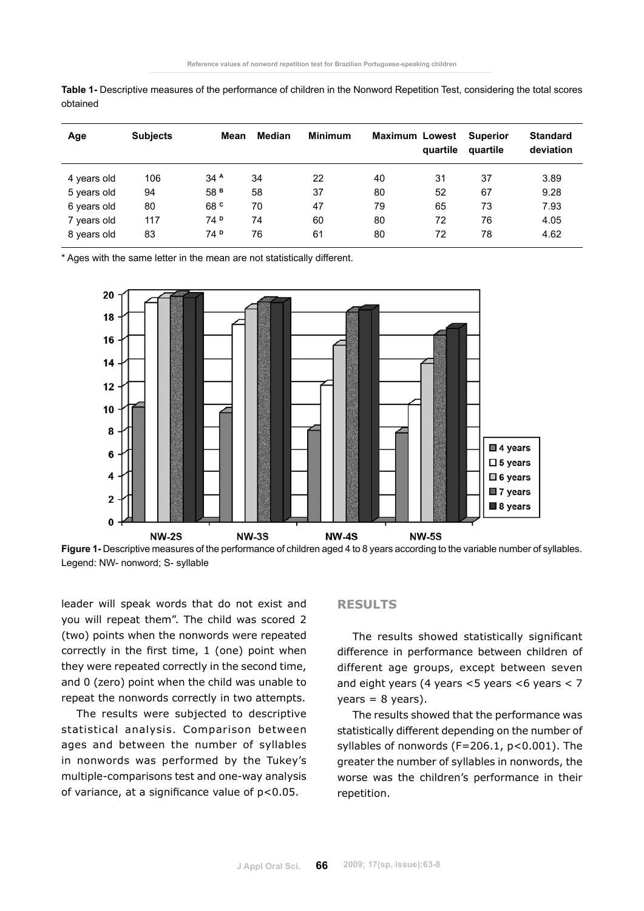| Age         | <b>Subjects</b> | Mean            | Median | <b>Minimum</b> |    | <b>Maximum Lowest</b><br>quartile | <b>Superior</b><br>quartile | <b>Standard</b><br>deviation |
|-------------|-----------------|-----------------|--------|----------------|----|-----------------------------------|-----------------------------|------------------------------|
| 4 years old | 106             | 34 <sup>A</sup> | 34     | 22             | 40 | 31                                | 37                          | 3.89                         |
| 5 years old | 94              | 58 <sup>B</sup> | 58     | 37             | 80 | 52                                | 67                          | 9.28                         |
| 6 years old | 80              | 68 <sup>c</sup> | 70     | 47             | 79 | 65                                | 73                          | 7.93                         |
| 7 years old | 117             | 74 <sup>D</sup> | 74     | 60             | 80 | 72                                | 76                          | 4.05                         |
| 8 years old | 83              | 74 <sup>D</sup> | 76     | 61             | 80 | 72                                | 78                          | 4.62                         |

**Table 1-** Descriptive measures of the performance of children in the Nonword Repetition Test, considering the total scores obtained

\* Ages with the same letter in the mean are not statistically different.



**Figure 1-** Descriptive measures of the performance of children aged 4 to 8 years according to the variable number of syllables. Legend: NW- nonword; S- syllable

leader will speak words that do not exist and you will repeat them". The child was scored 2 (two) points when the nonwords were repeated correctly in the first time, 1 (one) point when they were repeated correctly in the second time, and 0 (zero) point when the child was unable to repeat the nonwords correctly in two attempts.

The results were subjected to descriptive statistical analysis. Comparison between ages and between the number of syllables in nonwords was performed by the Tukey's multiple-comparisons test and one-way analysis of variance, at a significance value of  $p < 0.05$ .

#### **Results**

The results showed statistically significant difference in performance between children of different age groups, except between seven and eight years (4 years  $<$  5 years  $<$  6 years  $<$  7  $years = 8 years$ ).

The results showed that the performance was statistically different depending on the number of syllables of nonwords (F=206.1, p<0.001). The greater the number of syllables in nonwords, the worse was the children's performance in their repetition.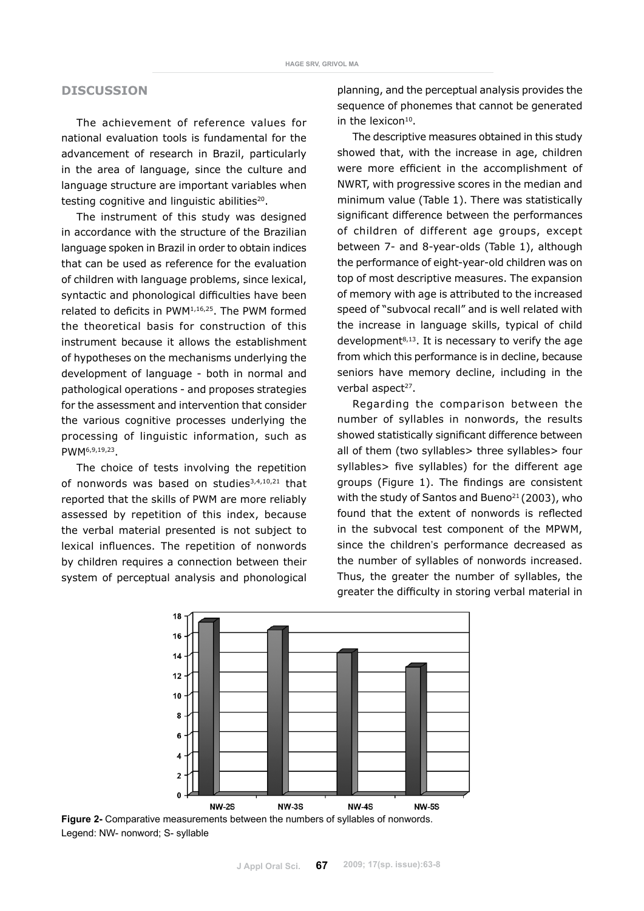# **Discussion**

The achievement of reference values for national evaluation tools is fundamental for the advancement of research in Brazil, particularly in the area of language, since the culture and language structure are important variables when testing cognitive and linguistic abilities<sup>20</sup>.

The instrument of this study was designed in accordance with the structure of the Brazilian language spoken in Brazil in order to obtain indices that can be used as reference for the evaluation of children with language problems, since lexical, syntactic and phonological difficulties have been related to deficits in PWM1,16,25. The PWM formed the theoretical basis for construction of this instrument because it allows the establishment of hypotheses on the mechanisms underlying the development of language - both in normal and pathological operations - and proposes strategies for the assessment and intervention that consider the various cognitive processes underlying the processing of linguistic information, such as PWM6,9,19,23.

The choice of tests involving the repetition of nonwords was based on studies<sup>3,4,10,21</sup> that reported that the skills of PWM are more reliably assessed by repetition of this index, because the verbal material presented is not subject to lexical influences. The repetition of nonwords by children requires a connection between their system of perceptual analysis and phonological planning, and the perceptual analysis provides the sequence of phonemes that cannot be generated in the lexicon<sup>10</sup>.

The descriptive measures obtained in this study showed that, with the increase in age, children were more efficient in the accomplishment of NWRT, with progressive scores in the median and minimum value (Table 1). There was statistically significant difference between the performances of children of different age groups, except between 7- and 8-year-olds (Table 1), although the performance of eight-year-old children was on top of most descriptive measures. The expansion of memory with age is attributed to the increased speed of "subvocal recall" and is well related with the increase in language skills, typical of child development $8,13$ . It is necessary to verify the age from which this performance is in decline, because seniors have memory decline, including in the verbal aspect<sup>27</sup>.

Regarding the comparison between the number of syllables in nonwords, the results showed statistically significant difference between all of them (two syllables> three syllables> four syllables> five syllables) for the different age groups (Figure 1). The findings are consistent with the study of Santos and Bueno<sup>21</sup> (2003), who found that the extent of nonwords is reflected in the subvocal test component of the MPWM, since the children's performance decreased as the number of syllables of nonwords increased. Thus, the greater the number of syllables, the greater the difficulty in storing verbal material in



**Figure 2-** Comparative measurements between the numbers of syllables of nonwords. Legend: NW- nonword; S- syllable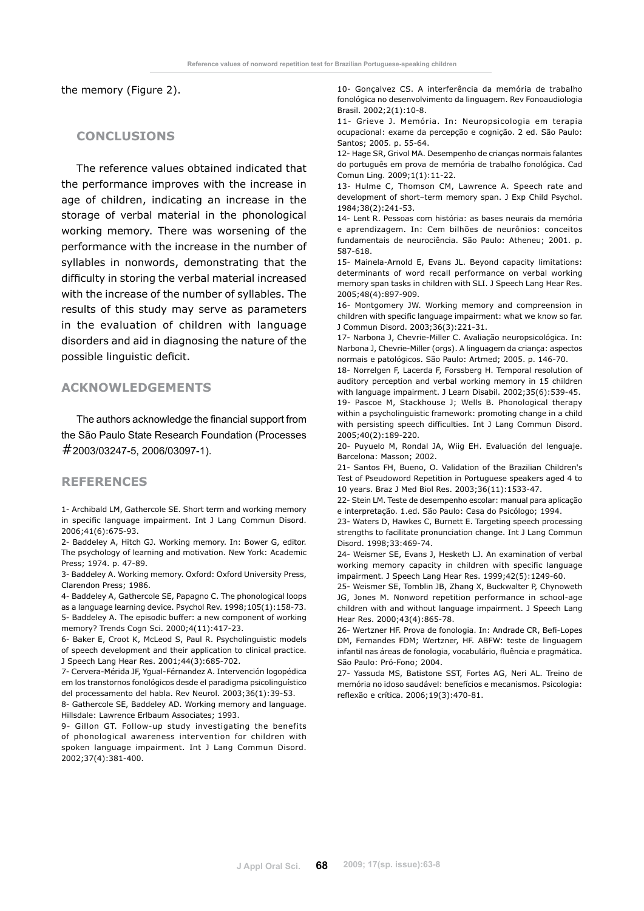the memory (Figure 2).

# **Conclusions**

The reference values obtained indicated that the performance improves with the increase in age of children, indicating an increase in the storage of verbal material in the phonological working memory. There was worsening of the performance with the increase in the number of syllables in nonwords, demonstrating that the difficulty in storing the verbal material increased with the increase of the number of syllables. The results of this study may serve as parameters in the evaluation of children with language disorders and aid in diagnosing the nature of the possible linguistic deficit.

# **Acknowledgements**

The authors acknowledge the financial support from the São Paulo State Research Foundation (Processes #2003/03247-5, 2006/03097-1).

#### **References**

1- Archibald LM, Gathercole SE. Short term and working memory in specific language impairment. Int J Lang Commun Disord. 2006;41(6):675-93.

2- Baddeley A, Hitch GJ. Working memory. In: Bower G, editor. The psychology of learning and motivation. New York: Academic Press; 1974. p. 47-89.

3- Baddeley A. Working memory. Oxford: Oxford University Press, Clarendon Press; 1986.

4- Baddeley A, Gathercole SE, Papagno C. The phonological loops as a language learning device. Psychol Rev. 1998;105(1):158-73. 5- Baddeley A. The episodic buffer: a new component of working memory? Trends Cogn Sci. 2000;4(11):417-23.

6- Baker E, Croot K, McLeod S, Paul R. Psycholinguistic models of speech development and their application to clinical practice. J Speech Lang Hear Res. 2001;44(3):685-702.

7- Cervera-Mérida JF, Ygual-Férnandez A. Intervención logopédica em los transtornos fonológicos desde el paradigma psicolinguístico del processamento del habla. Rev Neurol. 2003;36(1):39-53.

8- Gathercole SE, Baddeley AD. Working memory and language. Hillsdale: Lawrence Erlbaum Associates; 1993.

9- Gillon GT. Follow-up study investigating the benefits of phonological awareness intervention for children with spoken language impairment. Int J Lang Commun Disord. 2002;37(4):381-400.

10- Gonçalvez CS. A interferência da memória de trabalho fonológica no desenvolvimento da linguagem. Rev Fonoaudiologia Brasil. 2002;2(1):10-8.

11- Grieve J. Memória. In: Neuropsicologia em terapia ocupacional: exame da percepção e cognição. 2 ed. São Paulo: Santos; 2005. p. 55-64.

12- Hage SR, Grivol MA. Desempenho de crianças normais falantes do português em prova de memória de trabalho fonológica. Cad Comun Ling. 2009;1(1):11-22.

13- Hulme C, Thomson CM, Lawrence A. Speech rate and development of short–term memory span. J Exp Child Psychol. 1984;38(2):241-53.

14- Lent R. Pessoas com história: as bases neurais da memória e aprendizagem. In: Cem bilhões de neurônios: conceitos fundamentais de neurociência. São Paulo: Atheneu; 2001. p. 587-618.

15- Mainela-Arnold E, Evans JL. Beyond capacity limitations: determinants of word recall performance on verbal working memory span tasks in children with SLI. J Speech Lang Hear Res. 2005;48(4):897-909.

16- Montgomery JW. Working memory and compreension in children with specific language impairment: what we know so far. J Commun Disord. 2003;36(3):221-31.

17- Narbona J, Chevrie-Miller C. Avaliação neuropsicológica. In: Narbona J, Chevrie-Miller (orgs). A linguagem da criança: aspectos normais e patológicos. São Paulo: Artmed; 2005. p. 146-70.

18- Norrelgen F, Lacerda F, Forssberg H. Temporal resolution of auditory perception and verbal working memory in 15 children with language impairment. J Learn Disabil. 2002;35(6):539-45.

19- Pascoe M, Stackhouse J; Wells B. Phonological therapy within a psycholinguistic framework: promoting change in a child with persisting speech difficulties. Int J Lang Commun Disord. 2005;40(2):189-220.

20- Puyuelo M, Rondal JA, Wiig EH. Evaluación del lenguaje. Barcelona: Masson; 2002.

21- Santos FH, Bueno, O. Validation of the Brazilian Children's Test of Pseudoword Repetition in Portuguese speakers aged 4 to 10 years. Braz J Med Biol Res. 2003;36(11):1533-47.

22- Stein LM. Teste de desempenho escolar: manual para aplicação e interpretação. 1.ed. São Paulo: Casa do Psicólogo; 1994.

23- Waters D, Hawkes C, Burnett E. Targeting speech processing strengths to facilitate pronunciation change. Int J Lang Commun Disord. 1998;33:469-74.

24- Weismer SE, Evans J, Hesketh LJ. An examination of verbal working memory capacity in children with specific language impairment. J Speech Lang Hear Res. 1999;42(5):1249-60.

25- Weismer SE, Tomblin JB, Zhang X, Buckwalter P, Chynoweth JG, Jones M. Nonword repetition performance in school-age children with and without language impairment. J Speech Lang Hear Res. 2000;43(4):865-78.

26- Wertzner HF. Prova de fonologia. In: Andrade CR, Befi-Lopes DM, Fernandes FDM; Wertzner, HF. ABFW: teste de linguagem infantil nas áreas de fonologia, vocabulário, fluência e pragmática. São Paulo: Pró-Fono; 2004.

27- Yassuda MS, Batistone SST, Fortes AG, Neri AL. Treino de memória no idoso saudável: benefícios e mecanismos. Psicologia: reflexão e crítica. 2006;19(3):470-81.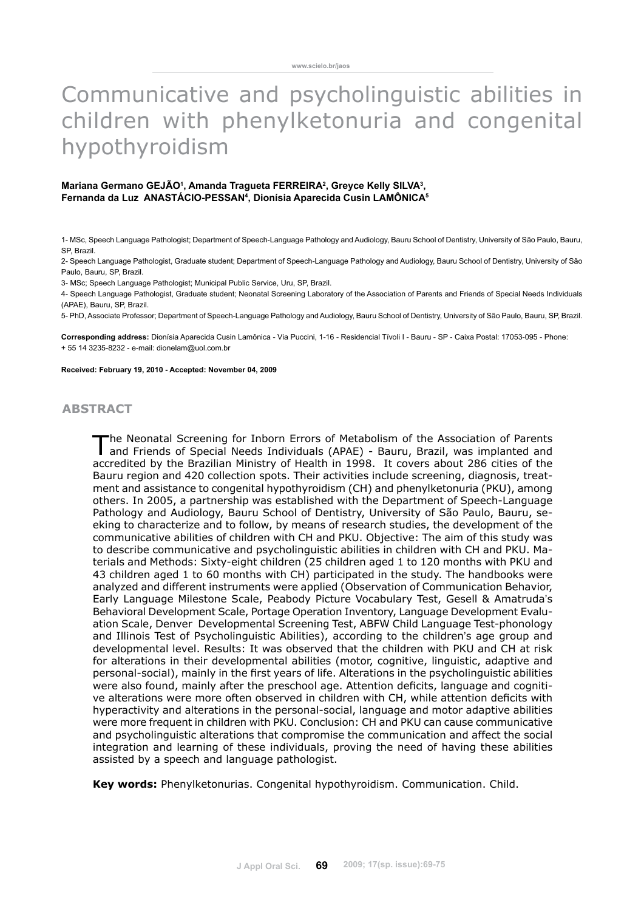# Communicative and psycholinguistic abilities in children with phenylketonuria and congenital hypothyroidism

#### Mariana Germano GEJAO<sup>1</sup>, Amanda Tragueta FERREIRA<sup>2</sup>, Greyce Kelly SILVA<sup>3</sup>, **Fernanda da Luz Anastácio-Pessan4 , Dionísia Aparecida Cusin Lamônica5**

1- MSc, Speech Language Pathologist; Department of Speech-Language Pathology and Audiology, Bauru School of Dentistry, University of São Paulo, Bauru, SP, Brazil.

2- Speech Language Pathologist, Graduate student; Department of Speech-Language Pathology and Audiology, Bauru School of Dentistry, University of São Paulo, Bauru, SP, Brazil.

3- MSc; Speech Language Pathologist; Municipal Public Service, Uru, SP, Brazil.

4- Speech Language Pathologist, Graduate student; Neonatal Screening Laboratory of the Association of Parents and Friends of Special Needs Individuals (APAE), Bauru, SP, Brazil.

5- PhD, Associate Professor; Department of Speech-Language Pathology and Audiology, Bauru School of Dentistry, University of São Paulo, Bauru, SP, Brazil.

**Corresponding address:** Dionísia Aparecida Cusin Lamônica - Via Puccini, 1-16 - Residencial Tívoli I - Bauru - SP - Caixa Postal: 17053-095 - Phone: + 55 14 3235-8232 - e-mail: dionelam@uol.com.br

#### **Received: February 19, 2010 - Accepted: November 04, 2009**

# **abstract**

The Neonatal Screening for Inborn Errors of Metabolism of the Association of Parents and Friends of Special Needs Individuals (APAE) - Bauru, Brazil, was implanted and accredited by the Brazilian Ministry of Health in 1998. It covers about 286 cities of the Bauru region and 420 collection spots. Their activities include screening, diagnosis, treatment and assistance to congenital hypothyroidism (CH) and phenylketonuria (PKU), among others. In 2005, a partnership was established with the Department of Speech-Language Pathology and Audiology, Bauru School of Dentistry, University of São Paulo, Bauru, seeking to characterize and to follow, by means of research studies, the development of the communicative abilities of children with CH and PKU. Objective: The aim of this study was to describe communicative and psycholinguistic abilities in children with CH and PKU. Materials and Methods: Sixty-eight children (25 children aged 1 to 120 months with PKU and 43 children aged 1 to 60 months with CH) participated in the study. The handbooks were analyzed and different instruments were applied (Observation of Communication Behavior, Early Language Milestone Scale, Peabody Picture Vocabulary Test, Gesell & Amatruda's Behavioral Development Scale, Portage Operation Inventory, Language Development Evaluation Scale, Denver Developmental Screening Test, ABFW Child Language Test-phonology and Illinois Test of Psycholinguistic Abilities), according to the children's age group and developmental level. Results: It was observed that the children with PKU and CH at risk for alterations in their developmental abilities (motor, cognitive, linguistic, adaptive and personal-social), mainly in the first years of life. Alterations in the psycholinguistic abilities were also found, mainly after the preschool age. Attention deficits, language and cognitive alterations were more often observed in children with CH, while attention deficits with hyperactivity and alterations in the personal-social, language and motor adaptive abilities were more frequent in children with PKU. Conclusion: CH and PKU can cause communicative and psycholinguistic alterations that compromise the communication and affect the social integration and learning of these individuals, proving the need of having these abilities assisted by a speech and language pathologist.

**Key words:** Phenylketonurias. Congenital hypothyroidism. Communication. Child.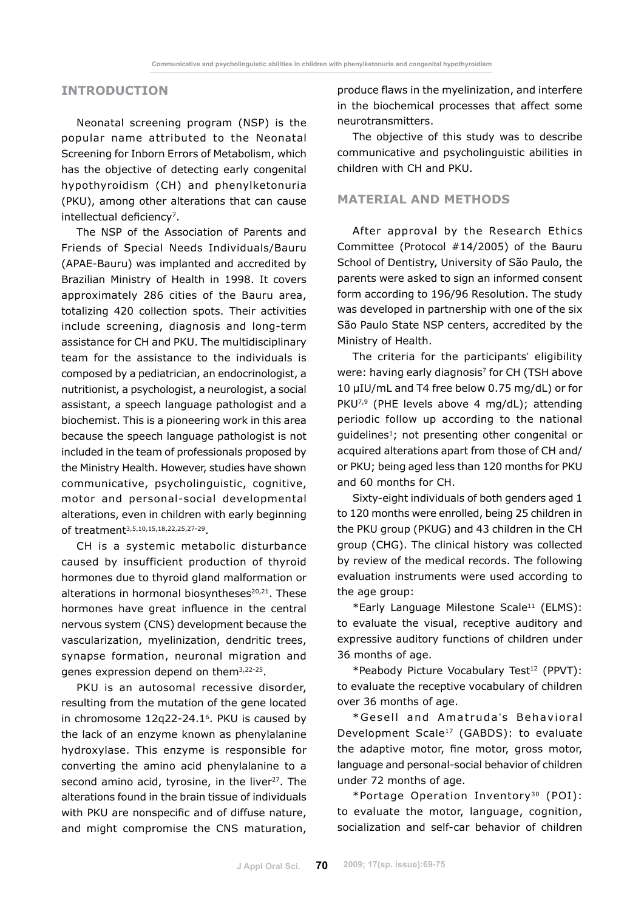# **INTRODUCTION**

Neonatal screening program (NSP) is the popular name attributed to the Neonatal Screening for Inborn Errors of Metabolism, which has the objective of detecting early congenital hypothyroidism (CH) and phenylketonuria (PKU), among other alterations that can cause intellectual deficiency<sup>7</sup>.

The NSP of the Association of Parents and Friends of Special Needs Individuals/Bauru (APAE-Bauru) was implanted and accredited by Brazilian Ministry of Health in 1998. It covers approximately 286 cities of the Bauru area, totalizing 420 collection spots. Their activities include screening, diagnosis and long-term assistance for CH and PKU. The multidisciplinary team for the assistance to the individuals is composed by a pediatrician, an endocrinologist, a nutritionist, a psychologist, a neurologist, a social assistant, a speech language pathologist and a biochemist. This is a pioneering work in this area because the speech language pathologist is not included in the team of professionals proposed by the Ministry Health. However, studies have shown communicative, psycholinguistic, cognitive, motor and personal-social developmental alterations, even in children with early beginning of treatment3,5,10,15,18,22,25,27-29.

CH is a systemic metabolic disturbance caused by insufficient production of thyroid hormones due to thyroid gland malformation or alterations in hormonal biosyntheses<sup>20,21</sup>. These hormones have great influence in the central nervous system (CNS) development because the vascularization, myelinization, dendritic trees, synapse formation, neuronal migration and genes expression depend on them3,22-25.

PKU is an autosomal recessive disorder, resulting from the mutation of the gene located in chromosome 12q22-24.1<sup>6</sup>. PKU is caused by the lack of an enzyme known as phenylalanine hydroxylase. This enzyme is responsible for converting the amino acid phenylalanine to a second amino acid, tyrosine, in the liver<sup>27</sup>. The alterations found in the brain tissue of individuals with PKU are nonspecific and of diffuse nature, and might compromise the CNS maturation, produce flaws in the myelinization, and interfere in the biochemical processes that affect some neurotransmitters.

The objective of this study was to describe communicative and psycholinguistic abilities in children with CH and PKU.

### **MATERIAL AND METHODS**

After approval by the Research Ethics Committee (Protocol #14/2005) of the Bauru School of Dentistry, University of São Paulo, the parents were asked to sign an informed consent form according to 196/96 Resolution. The study was developed in partnership with one of the six São Paulo State NSP centers, accredited by the Ministry of Health.

The criteria for the participants' eligibility were: having early diagnosis<sup>7</sup> for CH (TSH above 10 µIU/mL and T4 free below 0.75 mg/dL) or for PKU<sup>7,9</sup> (PHE levels above 4 mg/dL); attending periodic follow up according to the national guidelines<sup>1</sup>; not presenting other congenital or acquired alterations apart from those of CH and/ or PKU; being aged less than 120 months for PKU and 60 months for CH.

Sixty-eight individuals of both genders aged 1 to 120 months were enrolled, being 25 children in the PKU group (PKUG) and 43 children in the CH group (CHG). The clinical history was collected by review of the medical records. The following evaluation instruments were used according to the age group:

\*Early Language Milestone Scale11 (ELMS): to evaluate the visual, receptive auditory and expressive auditory functions of children under 36 months of age.

\*Peabody Picture Vocabulary Test12 (PPVT): to evaluate the receptive vocabulary of children over 36 months of age.

\*Gesell and Amatruda's Behavioral Development Scale17 (GABDS): to evaluate the adaptive motor, fine motor, gross motor, language and personal-social behavior of children under 72 months of age.

\*Portage Operation Inventory30 (POI): to evaluate the motor, language, cognition, socialization and self-car behavior of children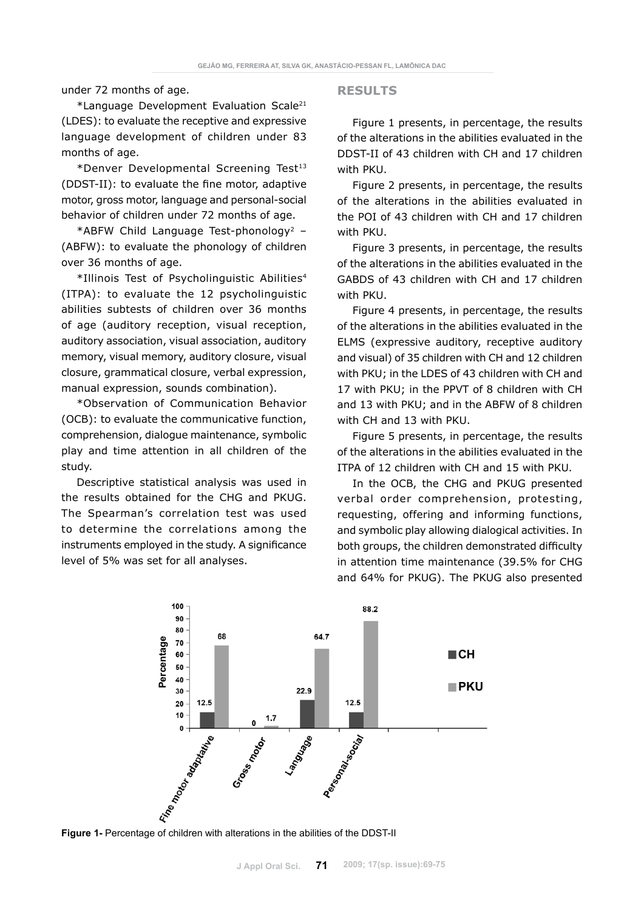under 72 months of age.

\*Language Development Evaluation Scale21 (LDES): to evaluate the receptive and expressive language development of children under 83 months of age.

\*Denver Developmental Screening Test13 (DDST-II): to evaluate the fine motor, adaptive motor, gross motor, language and personal-social behavior of children under 72 months of age.

\*ABFW Child Language Test-phonology<sup>2</sup> -(ABFW): to evaluate the phonology of children over 36 months of age.

\*Illinois Test of Psycholinguistic Abilities4 (ITPA): to evaluate the 12 psycholinguistic abilities subtests of children over 36 months of age (auditory reception, visual reception, auditory association, visual association, auditory memory, visual memory, auditory closure, visual closure, grammatical closure, verbal expression, manual expression, sounds combination).

\*Observation of Communication Behavior (OCB): to evaluate the communicative function, comprehension, dialogue maintenance, symbolic play and time attention in all children of the study.

Descriptive statistical analysis was used in the results obtained for the CHG and PKUG. The Spearman's correlation test was used to determine the correlations among the instruments employed in the study. A significance level of 5% was set for all analyses.

#### **RESULTS**

Figure 1 presents, in percentage, the results of the alterations in the abilities evaluated in the DDST-II of 43 children with CH and 17 children with PKU.

Figure 2 presents, in percentage, the results of the alterations in the abilities evaluated in the POI of 43 children with CH and 17 children with PKU.

Figure 3 presents, in percentage, the results of the alterations in the abilities evaluated in the GABDS of 43 children with CH and 17 children with PKU.

Figure 4 presents, in percentage, the results of the alterations in the abilities evaluated in the ELMS (expressive auditory, receptive auditory and visual) of 35 children with CH and 12 children with PKU; in the LDES of 43 children with CH and 17 with PKU; in the PPVT of 8 children with CH and 13 with PKU; and in the ABFW of 8 children with CH and 13 with PKU.

Figure 5 presents, in percentage, the results of the alterations in the abilities evaluated in the ITPA of 12 children with CH and 15 with PKU.

In the OCB, the CHG and PKUG presented verbal order comprehension, protesting, requesting, offering and informing functions, and symbolic play allowing dialogical activities. In both groups, the children demonstrated difficulty in attention time maintenance (39.5% for CHG and 64% for PKUG). The PKUG also presented

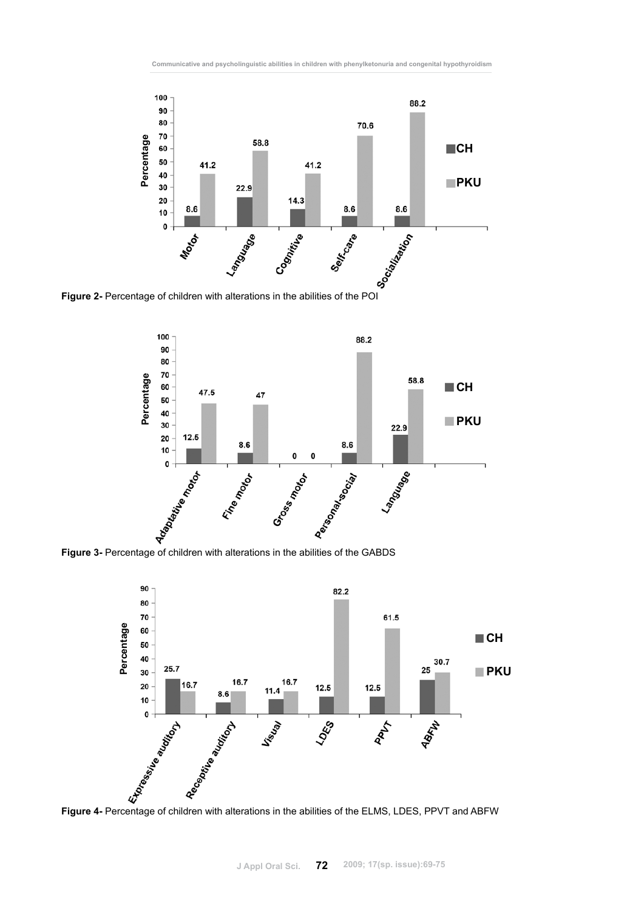



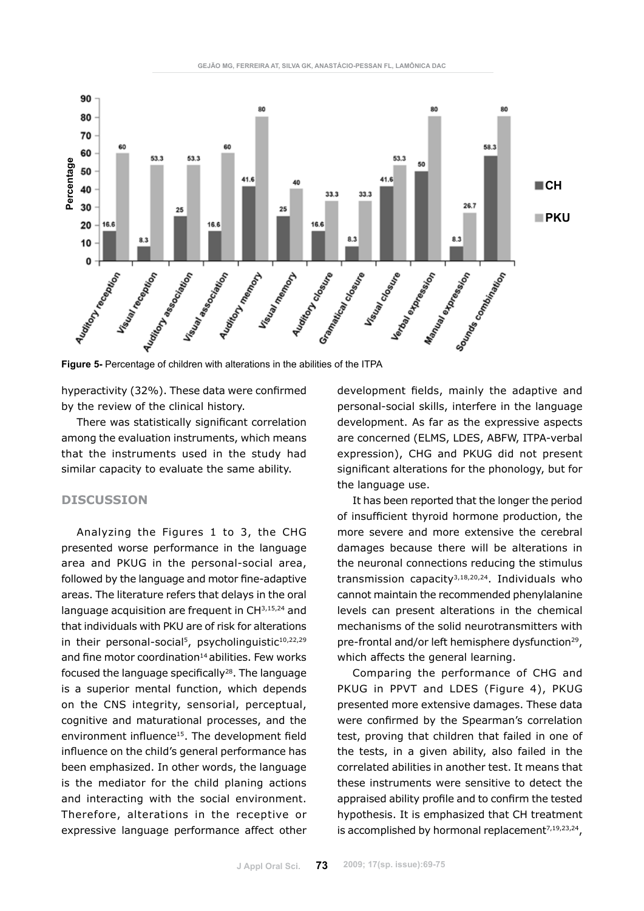

hyperactivity (32%). These data were confirmed by the review of the clinical history.

There was statistically significant correlation among the evaluation instruments, which means that the instruments used in the study had similar capacity to evaluate the same ability.

# **DISCUSSION**

Analyzing the Figures 1 to 3, the CHG presented worse performance in the language area and PKUG in the personal-social area, followed by the language and motor fine-adaptive areas. The literature refers that delays in the oral language acquisition are frequent in CH3,15,24 and that individuals with PKU are of risk for alterations in their personal-social<sup>5</sup>, psycholinguistic<sup>10,22,29</sup> and fine motor coordination $14$  abilities. Few works focused the language specifically $28$ . The language is a superior mental function, which depends on the CNS integrity, sensorial, perceptual, cognitive and maturational processes, and the environment influence<sup>15</sup>. The development field influence on the child's general performance has been emphasized. In other words, the language is the mediator for the child planing actions and interacting with the social environment. Therefore, alterations in the receptive or expressive language performance affect other development fields, mainly the adaptive and personal-social skills, interfere in the language development. As far as the expressive aspects are concerned (ELMS, LDES, ABFW, ITPA-verbal expression), CHG and PKUG did not present significant alterations for the phonology, but for the language use.

It has been reported that the longer the period of insufficient thyroid hormone production, the more severe and more extensive the cerebral damages because there will be alterations in the neuronal connections reducing the stimulus transmission capacity3,18,20,24. Individuals who cannot maintain the recommended phenylalanine levels can present alterations in the chemical mechanisms of the solid neurotransmitters with pre-frontal and/or left hemisphere dysfunction<sup>29</sup>, which affects the general learning.

Comparing the performance of CHG and PKUG in PPVT and LDES (Figure 4), PKUG presented more extensive damages. These data were confirmed by the Spearman's correlation test, proving that children that failed in one of the tests, in a given ability, also failed in the correlated abilities in another test. It means that these instruments were sensitive to detect the appraised ability profile and to confirm the tested hypothesis. It is emphasized that CH treatment is accomplished by hormonal replacement<sup>7,19,23,24</sup>,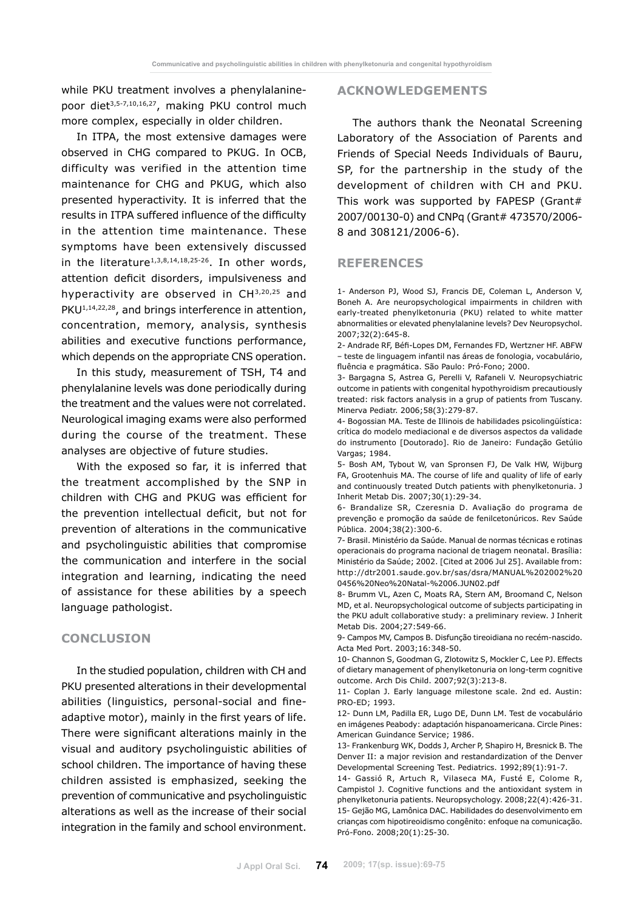while PKU treatment involves a phenylalaninepoor diet<sup>3,5-7,10,16,27</sup>, making PKU control much more complex, especially in older children.

In ITPA, the most extensive damages were observed in CHG compared to PKUG. In OCB, difficulty was verified in the attention time maintenance for CHG and PKUG, which also presented hyperactivity. It is inferred that the results in ITPA suffered influence of the difficulty in the attention time maintenance. These symptoms have been extensively discussed in the literature<sup>1,3,8,14,18,25-26</sup>. In other words, attention deficit disorders, impulsiveness and hyperactivity are observed in CH3,20,25 and PKU<sup>1,14,22,28</sup>, and brings interference in attention, concentration, memory, analysis, synthesis abilities and executive functions performance, which depends on the appropriate CNS operation.

In this study, measurement of TSH, T4 and phenylalanine levels was done periodically during the treatment and the values were not correlated. Neurological imaging exams were also performed during the course of the treatment. These analyses are objective of future studies.

With the exposed so far, it is inferred that the treatment accomplished by the SNP in children with CHG and PKUG was efficient for the prevention intellectual deficit, but not for prevention of alterations in the communicative and psycholinguistic abilities that compromise the communication and interfere in the social integration and learning, indicating the need of assistance for these abilities by a speech language pathologist.

# **CONCLUSION**

In the studied population, children with CH and PKU presented alterations in their developmental abilities (linguistics, personal-social and fineadaptive motor), mainly in the first years of life. There were significant alterations mainly in the visual and auditory psycholinguistic abilities of school children. The importance of having these children assisted is emphasized, seeking the prevention of communicative and psycholinguistic alterations as well as the increase of their social integration in the family and school environment.

#### **ACKNOWLEDGEMENTS**

The authors thank the Neonatal Screening Laboratory of the Association of Parents and Friends of Special Needs Individuals of Bauru, SP, for the partnership in the study of the development of children with CH and PKU. This work was supported by FAPESP (Grant# 2007/00130-0) and CNPq (Grant# 473570/2006- 8 and 308121/2006-6).

#### **REFERENCES**

1- Anderson PJ, Wood SJ, Francis DE, Coleman L, Anderson V, Boneh A. Are neuropsychological impairments in children with early-treated phenylketonuria (PKU) related to white matter abnormalities or elevated phenylalanine levels? Dev Neuropsychol. 2007;32(2):645-8.

2- Andrade RF, Béfi-Lopes DM, Fernandes FD, Wertzner HF. ABFW – teste de linguagem infantil nas áreas de fonologia, vocabulário, fluência e pragmática. São Paulo: Pró-Fono; 2000.

3- Bargagna S, Astrea G, Perelli V, Rafaneli V. Neuropsychiatric outcome in patients with congenital hypothyroidism precautiously treated: risk factors analysis in a grup of patients from Tuscany. Minerva Pediatr. 2006;58(3):279-87.

4- Bogossian MA. Teste de Illinois de habilidades psicolingüística: crítica do modelo mediacional e de diversos aspectos da validade do instrumento [Doutorado]. Rio de Janeiro: Fundação Getúlio Vargas; 1984.

5- Bosh AM, Tybout W, van Spronsen FJ, De Valk HW, Wijburg FA, Grootenhuis MA. The course of life and quality of life of early and continuously treated Dutch patients with phenylketonuria. J Inherit Metab Dis. 2007;30(1):29-34.

6- Brandalize SR, Czeresnia D. Avaliação do programa de prevenção e promoção da saúde de fenilcetonúricos. Rev Saúde Pública. 2004;38(2):300-6.

7- Brasil. Ministério da Saúde. Manual de normas técnicas e rotinas operacionais do programa nacional de triagem neonatal. Brasília: Ministério da Saúde; 2002. [Cited at 2006 Jul 25]. Available from: http://dtr2001.saude.gov.br/sas/dsra/MANUAL%202002%20 0456%20Neo%20Natal-%2006.JUN02.pdf

8- Brumm VL, Azen C, Moats RA, Stern AM, Broomand C, Nelson MD, et al. Neuropsychological outcome of subjects participating in the PKU adult collaborative study: a preliminary review. J Inherit Metab Dis. 2004;27:549-66.

9- Campos MV, Campos B. Disfunção tireoidiana no recém-nascido. Acta Med Port. 2003;16:348-50.

10- Channon S, Goodman G, Zlotowitz S, Mockler C, Lee PJ. Effects of dietary management of phenylketonuria on long-term cognitive outcome. Arch Dis Child. 2007;92(3):213-8.

11- Coplan J. Early language milestone scale. 2nd ed. Austin: PRO-ED; 1993.

12- Dunn LM, Padilla ER, Lugo DE, Dunn LM. Test de vocabulário en imágenes Peabody: adaptación hispanoamericana. Circle Pines: American Guindance Service; 1986.

13- Frankenburg WK, Dodds J, Archer P, Shapiro H, Bresnick B. The Denver II: a major revision and restandardization of the Denver Developmental Screening Test. Pediatrics. 1992;89(1):91-7.

14- Gassió R, Artuch R, Vilaseca MA, Fusté E, Colome R, Campistol J. Cognitive functions and the antioxidant system in phenylketonuria patients. Neuropsychology. 2008;22(4):426-31. 15- Gejão MG, Lamônica DAC. Habilidades do desenvolvimento em crianças com hipotireoidismo congênito: enfoque na comunicação. Pró-Fono. 2008;20(1):25-30.